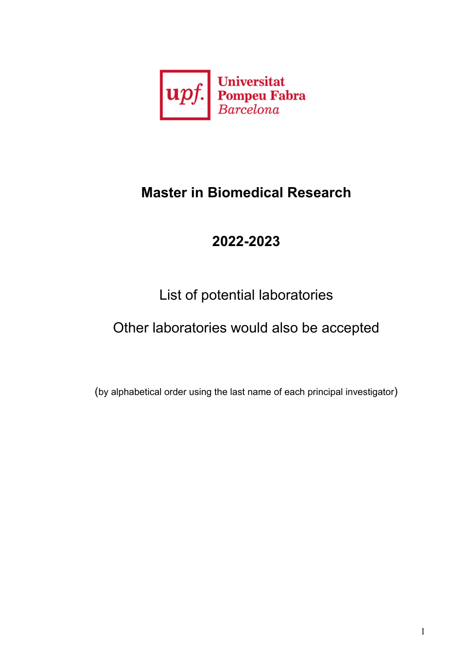

## **Master in Biomedical Research**

# **2022-2023**

# List of potential laboratories

# Other laboratories would also be accepted

(by alphabetical order using the last name of each principal investigator)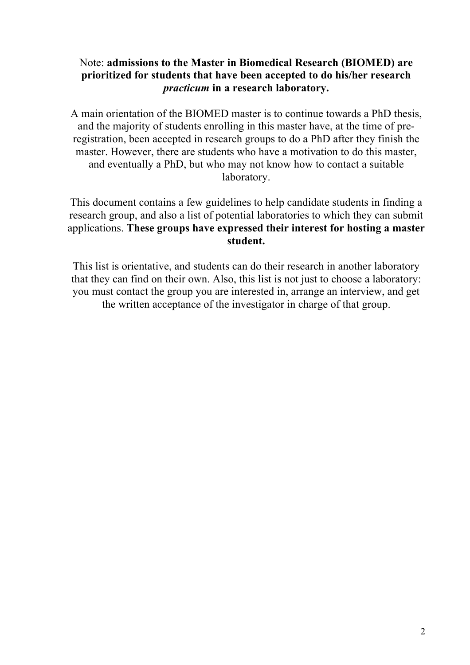## Note: **admissions to the Master in Biomedical Research (BIOMED) are prioritized for students that have been accepted to do his/her research**  *practicum* **in a research laboratory.**

A main orientation of the BIOMED master is to continue towards a PhD thesis, and the majority of students enrolling in this master have, at the time of preregistration, been accepted in research groups to do a PhD after they finish the master. However, there are students who have a motivation to do this master, and eventually a PhD, but who may not know how to contact a suitable laboratory.

This document contains a few guidelines to help candidate students in finding a research group, and also a list of potential laboratories to which they can submit applications. **These groups have expressed their interest for hosting a master student.**

This list is orientative, and students can do their research in another laboratory that they can find on their own. Also, this list is not just to choose a laboratory: you must contact the group you are interested in, arrange an interview, and get the written acceptance of the investigator in charge of that group.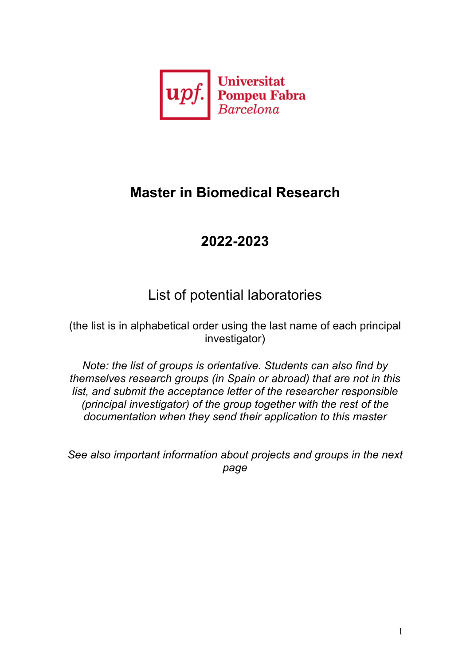

## **Master in Biomedical Research**

## **2022-2023**

## List of potential laboratories

(the list is in alphabetical order using the last name of each principal investigator)

*Note: the list of groups is orientative. Students can also find by themselves research groups (in Spain or abroad) that are not in this list, and submit the acceptance letter of the researcher responsible (principal investigator) of the group together with the rest of the documentation when they send their application to this master*

*See also important information about projects and groups in the next page*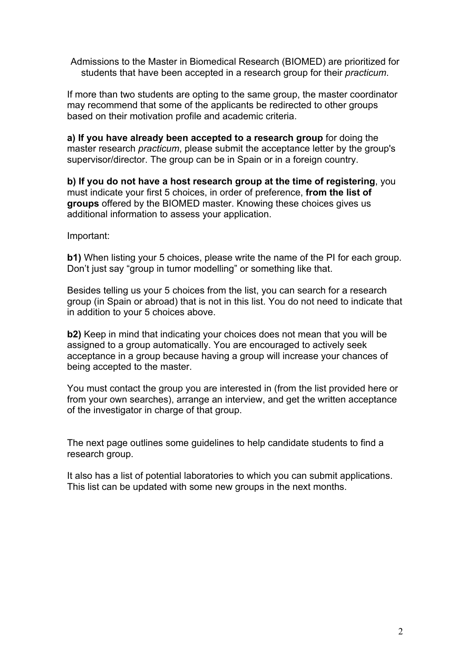Admissions to the Master in Biomedical Research (BIOMED) are prioritized for students that have been accepted in a research group for their *practicum*.

If more than two students are opting to the same group, the master coordinator may recommend that some of the applicants be redirected to other groups based on their motivation profile and academic criteria.

**a) If you have already been accepted to a research group** for doing the master research *practicum*, please submit the acceptance letter by the group's supervisor/director. The group can be in Spain or in a foreign country.

**b) If you do not have a host research group at the time of registering**, you must indicate your first 5 choices, in order of preference, **from the list of groups** offered by the BIOMED master. Knowing these choices gives us additional information to assess your application.

Important:

**b1)** When listing your 5 choices, please write the name of the PI for each group. Don't just say "group in tumor modelling" or something like that.

Besides telling us your 5 choices from the list, you can search for a research group (in Spain or abroad) that is not in this list. You do not need to indicate that in addition to your 5 choices above.

**b2)** Keep in mind that indicating your choices does not mean that you will be assigned to a group automatically. You are encouraged to actively seek acceptance in a group because having a group will increase your chances of being accepted to the master.

You must contact the group you are interested in (from the list provided here or from your own searches), arrange an interview, and get the written acceptance of the investigator in charge of that group.

The next page outlines some guidelines to help candidate students to find a research group.

It also has a list of potential laboratories to which you can submit applications. This list can be updated with some new groups in the next months.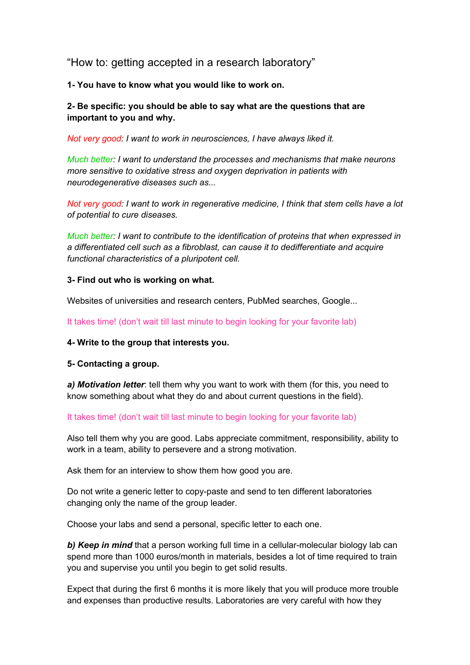"How to: getting accepted in a research laboratory"

**1- You have to know what you would like to work on.** 

**2- Be specific: you should be able to say what are the questions that are important to you and why.**

*Not very good: I want to work in neurosciences, I have always liked it.*

*Much better: I want to understand the processes and mechanisms that make neurons more sensitive to oxidative stress and oxygen deprivation in patients with neurodegenerative diseases such as...*

*Not very good: I want to work in regenerative medicine, I think that stem cells have a lot of potential to cure diseases.*

*Much better: I want to contribute to the identification of proteins that when expressed in a differentiated cell such as a fibroblast, can cause it to dedifferentiate and acquire functional characteristics of a pluripotent cell.* 

**3- Find out who is working on what.**

Websites of universities and research centers, PubMed searches, Google...

It takes time! (don't wait till last minute to begin looking for your favorite lab)

**4- Write to the group that interests you.**

**5- Contacting a group.**

*a) Motivation letter*: tell them why you want to work with them (for this, you need to know something about what they do and about current questions in the field).

It takes time! (don't wait till last minute to begin looking for your favorite lab)

Also tell them why you are good. Labs appreciate commitment, responsibility, ability to work in a team, ability to persevere and a strong motivation.

Ask them for an interview to show them how good you are.

Do not write a generic letter to copy-paste and send to ten different laboratories changing only the name of the group leader.

Choose your labs and send a personal, specific letter to each one.

*b) Keep in mind* that a person working full time in a cellular-molecular biology lab can spend more than 1000 euros/month in materials, besides a lot of time required to train you and supervise you until you begin to get solid results.

Expect that during the first 6 months it is more likely that you will produce more trouble and expenses than productive results. Laboratories are very careful with how they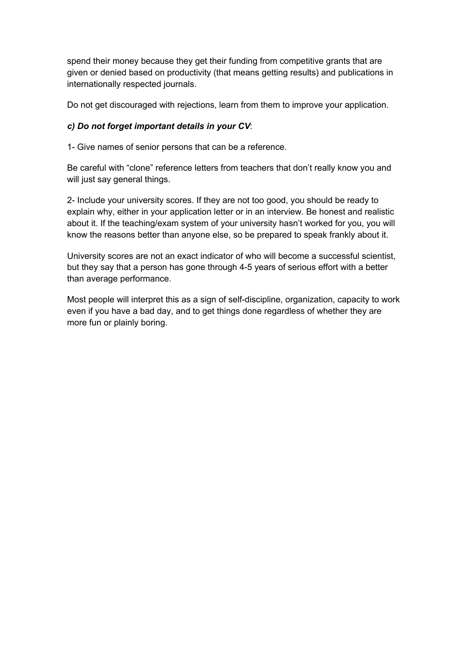spend their money because they get their funding from competitive grants that are given or denied based on productivity (that means getting results) and publications in internationally respected journals.

Do not get discouraged with rejections, learn from them to improve your application.

## *c) Do not forget important details in your CV*:

1- Give names of senior persons that can be a reference.

Be careful with "clone" reference letters from teachers that don't really know you and will just say general things.

2- Include your university scores. If they are not too good, you should be ready to explain why, either in your application letter or in an interview. Be honest and realistic about it. If the teaching/exam system of your university hasn't worked for you, you will know the reasons better than anyone else, so be prepared to speak frankly about it.

University scores are not an exact indicator of who will become a successful scientist, but they say that a person has gone through 4-5 years of serious effort with a better than average performance.

Most people will interpret this as a sign of self-discipline, organization, capacity to work even if you have a bad day, and to get things done regardless of whether they are more fun or plainly boring.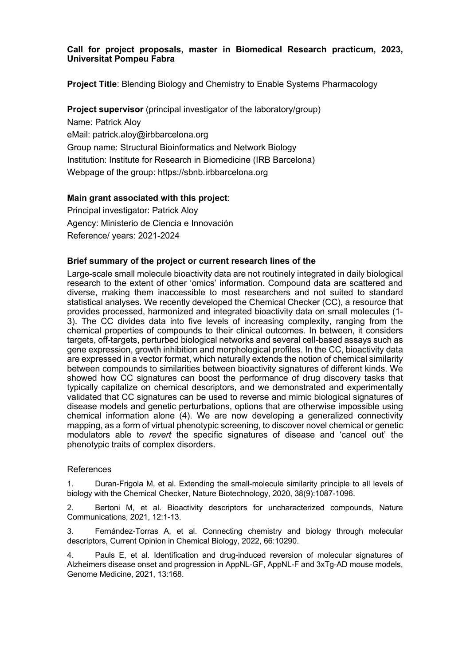**Project Title**: Blending Biology and Chemistry to Enable Systems Pharmacology

**Project supervisor** (principal investigator of the laboratory/group) Name: Patrick Aloy eMail: patrick.aloy@irbbarcelona.org Group name: Structural Bioinformatics and Network Biology Institution: Institute for Research in Biomedicine (IRB Barcelona) Webpage of the group: https://sbnb.irbbarcelona.org

### **Main grant associated with this project**:

Principal investigator: Patrick Aloy Agency: Ministerio de Ciencia e Innovación Reference/ years: 2021-2024

#### **Brief summary of the project or current research lines of the**

Large-scale small molecule bioactivity data are not routinely integrated in daily biological research to the extent of other 'omics' information. Compound data are scattered and diverse, making them inaccessible to most researchers and not suited to standard statistical analyses. We recently developed the Chemical Checker (CC), a resource that provides processed, harmonized and integrated bioactivity data on small molecules (1- 3). The CC divides data into five levels of increasing complexity, ranging from the chemical properties of compounds to their clinical outcomes. In between, it considers targets, off-targets, perturbed biological networks and several cell-based assays such as gene expression, growth inhibition and morphological profiles. In the CC, bioactivity data are expressed in a vector format, which naturally extends the notion of chemical similarity between compounds to similarities between bioactivity signatures of different kinds. We showed how CC signatures can boost the performance of drug discovery tasks that typically capitalize on chemical descriptors, and we demonstrated and experimentally validated that CC signatures can be used to reverse and mimic biological signatures of disease models and genetic perturbations, options that are otherwise impossible using chemical information alone (4). We are now developing a generalized connectivity mapping, as a form of virtual phenotypic screening, to discover novel chemical or genetic modulators able to *revert* the specific signatures of disease and 'cancel out' the phenotypic traits of complex disorders.

#### References

1. Duran-Frigola M, et al. Extending the small-molecule similarity principle to all levels of biology with the Chemical Checker, Nature Biotechnology, 2020, 38(9):1087-1096.

2. Bertoni M, et al. Bioactivity descriptors for uncharacterized compounds, Nature Communications, 2021, 12:1-13.

3. Fernández-Torras A, et al. Connecting chemistry and biology through molecular descriptors, Current Opinion in Chemical Biology, 2022, 66:10290.

4. Pauls E, et al. Identification and drug-induced reversion of molecular signatures of Alzheimers disease onset and progression in AppNL-GF, AppNL-F and 3xTg-AD mouse models, Genome Medicine, 2021, 13:168.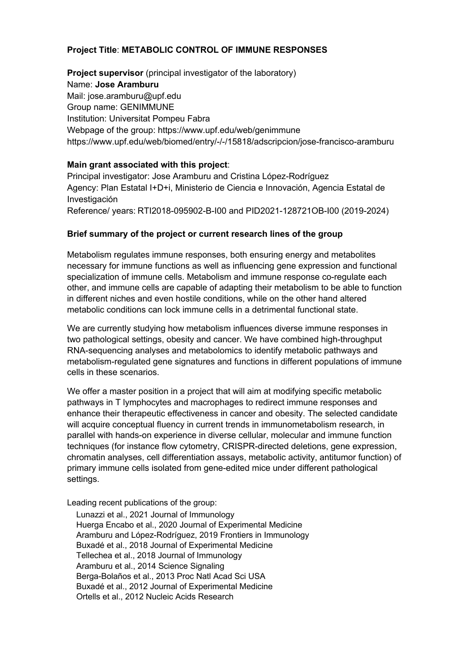## **Project Title**: **METABOLIC CONTROL OF IMMUNE RESPONSES**

**Project supervisor** (principal investigator of the laboratory) Name: **Jose Aramburu** Mail: jose.aramburu@upf.edu Group name: GENIMMUNE Institution: Universitat Pompeu Fabra Webpage of the group: https://www.upf.edu/web/genimmune https://www.upf.edu/web/biomed/entry/-/-/15818/adscripcion/jose-francisco-aramburu

## **Main grant associated with this project**:

Principal investigator: Jose Aramburu and Cristina López-Rodríguez Agency: Plan Estatal I+D+i, Ministerio de Ciencia e Innovación, Agencia Estatal de Investigación Reference/ years: RTI2018-095902-B-I00 and PID2021-128721OB-I00 (2019-2024)

## **Brief summary of the project or current research lines of the group**

Metabolism regulates immune responses, both ensuring energy and metabolites necessary for immune functions as well as influencing gene expression and functional specialization of immune cells. Metabolism and immune response co-regulate each other, and immune cells are capable of adapting their metabolism to be able to function in different niches and even hostile conditions, while on the other hand altered metabolic conditions can lock immune cells in a detrimental functional state.

We are currently studying how metabolism influences diverse immune responses in two pathological settings, obesity and cancer. We have combined high-throughput RNA-sequencing analyses and metabolomics to identify metabolic pathways and metabolism-regulated gene signatures and functions in different populations of immune cells in these scenarios.

We offer a master position in a project that will aim at modifying specific metabolic pathways in T lymphocytes and macrophages to redirect immune responses and enhance their therapeutic effectiveness in cancer and obesity. The selected candidate will acquire conceptual fluency in current trends in immunometabolism research, in parallel with hands-on experience in diverse cellular, molecular and immune function techniques (for instance flow cytometry, CRISPR-directed deletions, gene expression, chromatin analyses, cell differentiation assays, metabolic activity, antitumor function) of primary immune cells isolated from gene-edited mice under different pathological settings.

Leading recent publications of the group:

 Lunazzi et al., 2021 Journal of Immunology Huerga Encabo et al., 2020 Journal of Experimental Medicine Aramburu and López-Rodríguez, 2019 Frontiers in Immunology Buxadé et al., 2018 Journal of Experimental Medicine Tellechea et al., 2018 Journal of Immunology Aramburu et al., 2014 Science Signaling Berga-Bolaños et al., 2013 Proc Natl Acad Sci USA Buxadé et al., 2012 Journal of Experimental Medicine Ortells et al., 2012 Nucleic Acids Research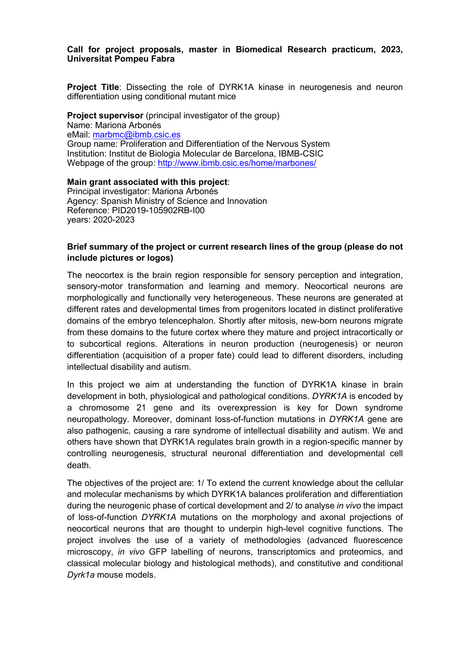**Project Title**: Dissecting the role of DYRK1A kinase in neurogenesis and neuron differentiation using conditional mutant mice

**Project supervisor** (principal investigator of the group) Name: Mariona Arbonés eMail: marbmc@ibmb.csic.es Group name: Proliferation and Differentiation of the Nervous System Institution: Institut de Biologia Molecular de Barcelona, IBMB-CSIC Webpage of the group: http://www.ibmb.csic.es/home/marbones/

**Main grant associated with this project**: Principal investigator: Mariona Arbonés Agency: Spanish Ministry of Science and Innovation Reference: PID2019-105902RB-I00 years: 2020-2023

## **Brief summary of the project or current research lines of the group (please do not include pictures or logos)**

The neocortex is the brain region responsible for sensory perception and integration, sensory-motor transformation and learning and memory. Neocortical neurons are morphologically and functionally very heterogeneous. These neurons are generated at different rates and developmental times from progenitors located in distinct proliferative domains of the embryo telencephalon. Shortly after mitosis, new-born neurons migrate from these domains to the future cortex where they mature and project intracortically or to subcortical regions. Alterations in neuron production (neurogenesis) or neuron differentiation (acquisition of a proper fate) could lead to different disorders, including intellectual disability and autism.

In this project we aim at understanding the function of DYRK1A kinase in brain development in both, physiological and pathological conditions. *DYRK1A* is encoded by a chromosome 21 gene and its overexpression is key for Down syndrome neuropathology. Moreover, dominant loss-of-function mutations in *DYRK1A* gene are also pathogenic, causing a rare syndrome of intellectual disability and autism. We and others have shown that DYRK1A regulates brain growth in a region-specific manner by controlling neurogenesis, structural neuronal differentiation and developmental cell death.

The objectives of the project are: 1/ To extend the current knowledge about the cellular and molecular mechanisms by which DYRK1A balances proliferation and differentiation during the neurogenic phase of cortical development and 2/ to analyse *in vivo* the impact of loss-of-function *DYRK1A* mutations on the morphology and axonal projections of neocortical neurons that are thought to underpin high-level cognitive functions. The project involves the use of a variety of methodologies (advanced fluorescence microscopy, *in vivo* GFP labelling of neurons, transcriptomics and proteomics, and classical molecular biology and histological methods), and constitutive and conditional *Dyrk1a* mouse models.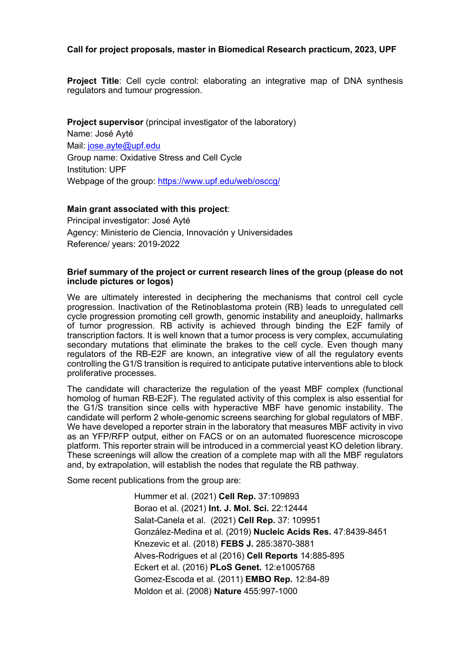### **Call for project proposals, master in Biomedical Research practicum, 2023, UPF**

**Project Title**: Cell cycle control: elaborating an integrative map of DNA synthesis regulators and tumour progression.

**Project supervisor** (principal investigator of the laboratory) Name: José Ayté Mail: jose.ayte@upf.edu Group name: Oxidative Stress and Cell Cycle Institution: UPF Webpage of the group: https://www.upf.edu/web/osccg/

#### **Main grant associated with this project**:

Principal investigator: José Ayté Agency: Ministerio de Ciencia, Innovación y Universidades Reference/ years: 2019-2022

#### **Brief summary of the project or current research lines of the group (please do not include pictures or logos)**

We are ultimately interested in deciphering the mechanisms that control cell cycle progression. Inactivation of the Retinoblastoma protein (RB) leads to unregulated cell cycle progression promoting cell growth, genomic instability and aneuploidy, hallmarks of tumor progression. RB activity is achieved through binding the E2F family of transcription factors. It is well known that a tumor process is very complex, accumulating secondary mutations that eliminate the brakes to the cell cycle. Even though many regulators of the RB-E2F are known, an integrative view of all the regulatory events controlling the G1/S transition is required to anticipate putative interventions able to block proliferative processes.

The candidate will characterize the regulation of the yeast MBF complex (functional homolog of human RB-E2F). The regulated activity of this complex is also essential for the G1/S transition since cells with hyperactive MBF have genomic instability. The candidate will perform 2 whole-genomic screens searching for global regulators of MBF. We have developed a reporter strain in the laboratory that measures MBF activity in vivo as an YFP/RFP output, either on FACS or on an automated fluorescence microscope platform. This reporter strain will be introduced in a commercial yeast KO deletion library. These screenings will allow the creation of a complete map with all the MBF regulators and, by extrapolation, will establish the nodes that regulate the RB pathway.

Some recent publications from the group are:

Hummer et al. (2021) **Cell Rep.** 37:109893 Borao et al. (2021) **Int. J. Mol. Sci.** 22:12444 Salat-Canela et al. (2021) **Cell Rep.** 37: 109951 González-Medina et al. (2019) **Nucleic Acids Res.** 47:8439-8451 Knezevic et al. (2018) **FEBS J.** 285:3870-3881 Alves-Rodrigues et al (2016) **Cell Reports** 14:885-895 Eckert et al. (2016) **PLoS Genet.** 12:e1005768 Gomez-Escoda et al. (2011) **EMBO Rep.** 12:84-89 Moldon et al. (2008) **Nature** 455:997-1000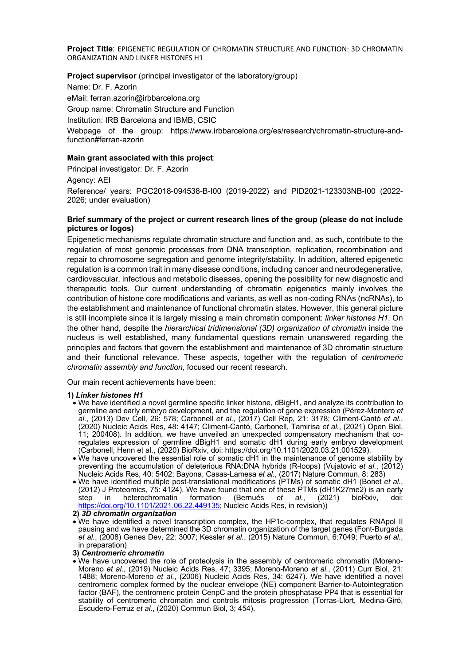**Project Title**: EPIGENETIC REGULATION OF CHROMATIN STRUCTURE AND FUNCTION: 3D CHROMATIN ORGANIZATION AND LINKER HISTONES H1

#### **Project supervisor** (principal investigator of the laboratory/group)

Name: Dr. F. Azorin eMail: ferran.azorin@irbbarcelona.org Group name: Chromatin Structure and Function Institution: IRB Barcelona and IBMB, CSIC Webpage of the group: https://www.irbbarcelona.org/es/research/chromatin-structure-andfunction#ferran-azorin

#### **Main grant associated with this project**:

Principal investigator: Dr. F. Azorin Agency: AEI Reference/ years: PGC2018-094538-B-I00 (2019-2022) and PID2021-123303NB-I00 (2022- 2026; under evaluation)

#### **Brief summary of the project or current research lines of the group (please do not include pictures or logos)**

Epigenetic mechanisms regulate chromatin structure and function and, as such, contribute to the regulation of most genomic processes from DNA transcription, replication, recombination and repair to chromosome segregation and genome integrity/stability. In addition, altered epigenetic regulation is a common trait in many disease conditions, including cancer and neurodegenerative, cardiovascular, infectious and metabolic diseases, opening the possibility for new diagnostic and therapeutic tools. Our current understanding of chromatin epigenetics mainly involves the contribution of histone core modifications and variants, as well as non-coding RNAs (ncRNAs), to the establishment and maintenance of functional chromatin states. However, this general picture is still incomplete since it is largely missing a main chromatin component: *linker histones H1*. On the other hand, despite the *hierarchical tridimensional (3D) organization of chromatin* inside the nucleus is well established, many fundamental questions remain unanswered regarding the principles and factors that govern the establishment and maintenance of 3D chromatin structure and their functional relevance. These aspects, together with the regulation of *centromeric chromatin assembly and function*, focused our recent research.

Our main recent achievements have been:

#### **1)** *Linker histones H1*

- We have identified a novel germline specific linker histone, dBigH1, and analyze its contribution to germline and early embryo development, and the regulation of gene expression (Pérez-Montero *et al.*, (2013) Dev Cell, 26: 578; Carbonell *et al.*, (2017) Cell Rep, 21: 3178; Climent-Cantó *et al.*, (2020) Nucleic Acids Res, 48: 4147; Climent-Cantó, Carbonell, Tamirisa *et al.*, (2021) Open Biol, 11; 200408). In addition, we have unveiled an unexpected compensatory mechanism that coregulates expression of germline dBigH1 and somatic dH1 during early embryo development (Carbonell, Henn et al., (2020) BioRxiv, doi: https://doi.org/10.1101/2020.03.21.001529).
- We have uncovered the essential role of somatic dH1 in the maintenance of genome stability by preventing the accumulation of deleterious RNA:DNA hybrids (R-loops) (Vujatovic et al., (2012) Nucleic Acids Res, 40: 5402; Bayona, Casas-Lamesa *et al.*, (2017) Nature Commun, 8: 283)
- We have identified multiple post-translational modifications (PTMs) of somatic dH1 (Bonet *et al.*, (2012) J Proteomics, 75: 4124). We have found that one of these PTMs (dH1K27me2) is an early step in the terrochromatin formation (Bernués et al., (2021) bioRxiv, doi: step in heterochromatin formation (Bernués *et al.*, (2021) bioRxiv, doi: https://doi.org/10.1101/2021.06.22.449135; Nucleic Acids Res, in revision))

#### **2)** *3D chromatin organization*

• We have identified a novel transcription complex, the HP1c-complex, that regulates RNApol II pausing and we have determined the 3D chromatin organization of the target genes (Font-Burgada *et al.*, (2008) Genes Dev, 22: 3007; Kessler *et al.*, (2015) Nature Commun, 6:7049; Puerto *et al.*, in preparation)

**3)** *Centromeric chromatin*

• We have uncovered the role of proteolysis in the assembly of centromeric chromatin (Moreno-Moreno *et al.*, (2019) Nucleic Acids Res, 47; 3395; Moreno-Moreno *et al.*, (2011) Curr Biol, 21: 1488; Moreno-Moreno *et al.*, (2006) Nucleic Acids Res, 34: 6247). We have identified a novel centromeric complex formed by the nuclear envelope (NE) component Barrier-to-Autointegration factor (BAF), the centromeric protein CenpC and the protein phosphatase PP4 that is essential for stability of centromeric chromatin and controls mitosis progression (Torras-Llort, Medina-Giró, Escudero-Ferruz *et al.*, (2020) Commun Biol, 3; 454).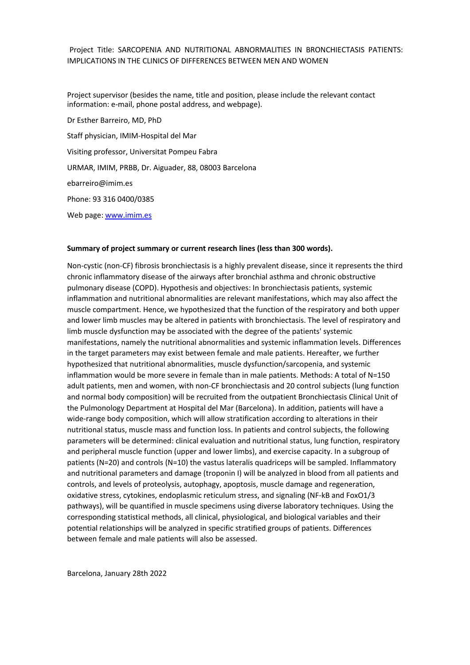#### Project Title: SARCOPENIA AND NUTRITIONAL ABNORMALITIES IN BRONCHIECTASIS PATIENTS: IMPLICATIONS IN THE CLINICS OF DIFFERENCES BETWEEN MEN AND WOMEN

Project supervisor (besides the name, title and position, please include the relevant contact information: e-mail, phone postal address, and webpage).

Dr Esther Barreiro, MD, PhD Staff physician, IMIM-Hospital del Mar Visiting professor, Universitat Pompeu Fabra URMAR, IMIM, PRBB, Dr. Aiguader, 88, 08003 Barcelona ebarreiro@imim.es Phone: 93 316 0400/0385 Web page: www.imim.es

#### **Summary of project summary or current research lines (less than 300 words).**

Non-cystic (non-CF) fibrosis bronchiectasis is a highly prevalent disease, since it represents the third chronic inflammatory disease of the airways after bronchial asthma and chronic obstructive pulmonary disease (COPD). Hypothesis and objectives: In bronchiectasis patients, systemic inflammation and nutritional abnormalities are relevant manifestations, which may also affect the muscle compartment. Hence, we hypothesized that the function of the respiratory and both upper and lower limb muscles may be altered in patients with bronchiectasis. The level of respiratory and limb muscle dysfunction may be associated with the degree of the patients' systemic manifestations, namely the nutritional abnormalities and systemic inflammation levels. Differences in the target parameters may exist between female and male patients. Hereafter, we further hypothesized that nutritional abnormalities, muscle dysfunction/sarcopenia, and systemic inflammation would be more severe in female than in male patients. Methods: A total of N=150 adult patients, men and women, with non-CF bronchiectasis and 20 control subjects (lung function and normal body composition) will be recruited from the outpatient Bronchiectasis Clinical Unit of the Pulmonology Department at Hospital del Mar (Barcelona). In addition, patients will have a wide-range body composition, which will allow stratification according to alterations in their nutritional status, muscle mass and function loss. In patients and control subjects, the following parameters will be determined: clinical evaluation and nutritional status, lung function, respiratory and peripheral muscle function (upper and lower limbs), and exercise capacity. In a subgroup of patients (N=20) and controls (N=10) the vastus lateralis quadriceps will be sampled. Inflammatory and nutritional parameters and damage (troponin I) will be analyzed in blood from all patients and controls, and levels of proteolysis, autophagy, apoptosis, muscle damage and regeneration, oxidative stress, cytokines, endoplasmic reticulum stress, and signaling (NF-kB and FoxO1/3 pathways), will be quantified in muscle specimens using diverse laboratory techniques. Using the corresponding statistical methods, all clinical, physiological, and biological variables and their potential relationships will be analyzed in specific stratified groups of patients. Differences between female and male patients will also be assessed.

Barcelona, January 28th 2022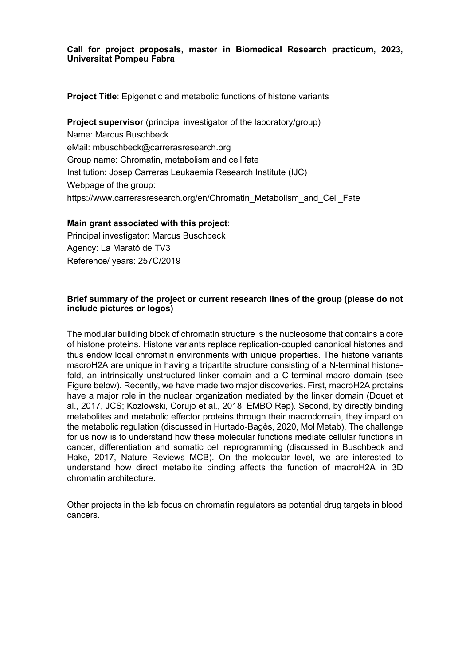**Project Title:** Epigenetic and metabolic functions of histone variants

**Project supervisor** (principal investigator of the laboratory/group) Name: Marcus Buschbeck eMail: mbuschbeck@carrerasresearch.org Group name: Chromatin, metabolism and cell fate Institution: Josep Carreras Leukaemia Research Institute (IJC) Webpage of the group: https://www.carrerasresearch.org/en/Chromatin\_Metabolism\_and\_Cell\_Fate

### **Main grant associated with this project**:

Principal investigator: Marcus Buschbeck Agency: La Marató de TV3 Reference/ years: 257C/2019

### **Brief summary of the project or current research lines of the group (please do not include pictures or logos)**

The modular building block of chromatin structure is the nucleosome that contains a core of histone proteins. Histone variants replace replication-coupled canonical histones and thus endow local chromatin environments with unique properties. The histone variants macroH2A are unique in having a tripartite structure consisting of a N-terminal histonefold, an intrinsically unstructured linker domain and a C-terminal macro domain (see Figure below). Recently, we have made two major discoveries. First, macroH2A proteins have a major role in the nuclear organization mediated by the linker domain (Douet et al., 2017, JCS; Kozlowski, Corujo et al., 2018, EMBO Rep). Second, by directly binding metabolites and metabolic effector proteins through their macrodomain, they impact on the metabolic regulation (discussed in Hurtado-Bagès, 2020, Mol Metab). The challenge for us now is to understand how these molecular functions mediate cellular functions in cancer, differentiation and somatic cell reprogramming (discussed in Buschbeck and Hake, 2017, Nature Reviews MCB). On the molecular level, we are interested to understand how direct metabolite binding affects the function of macroH2A in 3D chromatin architecture.

Other projects in the lab focus on chromatin regulators as potential drug targets in blood cancers.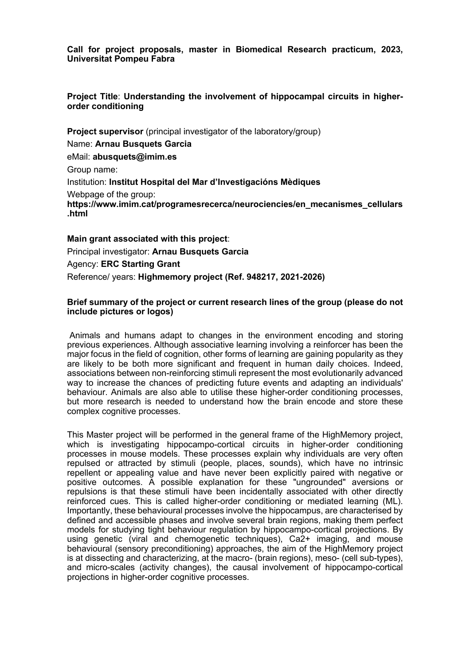**Project Title**: **Understanding the involvement of hippocampal circuits in higherorder conditioning**

**Project supervisor** (principal investigator of the laboratory/group) Name: **Arnau Busquets Garcia** eMail: **abusquets@imim.es** Group name: Institution: **Institut Hospital del Mar d'Investigacións Mèdiques** Webpage of the group: **https://www.imim.cat/programesrecerca/neurociencies/en\_mecanismes\_cellulars .html**

**Main grant associated with this project**: Principal investigator: **Arnau Busquets Garcia** Agency: **ERC Starting Grant** Reference/ years: **Highmemory project (Ref. 948217, 2021-2026)**

#### **Brief summary of the project or current research lines of the group (please do not include pictures or logos)**

Animals and humans adapt to changes in the environment encoding and storing previous experiences. Although associative learning involving a reinforcer has been the major focus in the field of cognition, other forms of learning are gaining popularity as they are likely to be both more significant and frequent in human daily choices. Indeed, associations between non-reinforcing stimuli represent the most evolutionarily advanced way to increase the chances of predicting future events and adapting an individuals' behaviour. Animals are also able to utilise these higher-order conditioning processes, but more research is needed to understand how the brain encode and store these complex cognitive processes.

This Master project will be performed in the general frame of the HighMemory project, which is investigating hippocampo-cortical circuits in higher-order conditioning processes in mouse models. These processes explain why individuals are very often repulsed or attracted by stimuli (people, places, sounds), which have no intrinsic repellent or appealing value and have never been explicitly paired with negative or positive outcomes. A possible explanation for these "ungrounded" aversions or repulsions is that these stimuli have been incidentally associated with other directly reinforced cues. This is called higher-order conditioning or mediated learning (ML). Importantly, these behavioural processes involve the hippocampus, are characterised by defined and accessible phases and involve several brain regions, making them perfect models for studying tight behaviour regulation by hippocampo-cortical projections. By using genetic (viral and chemogenetic techniques), Ca2+ imaging, and mouse behavioural (sensory preconditioning) approaches, the aim of the HighMemory project is at dissecting and characterizing, at the macro- (brain regions), meso- (cell sub-types), and micro-scales (activity changes), the causal involvement of hippocampo-cortical projections in higher-order cognitive processes.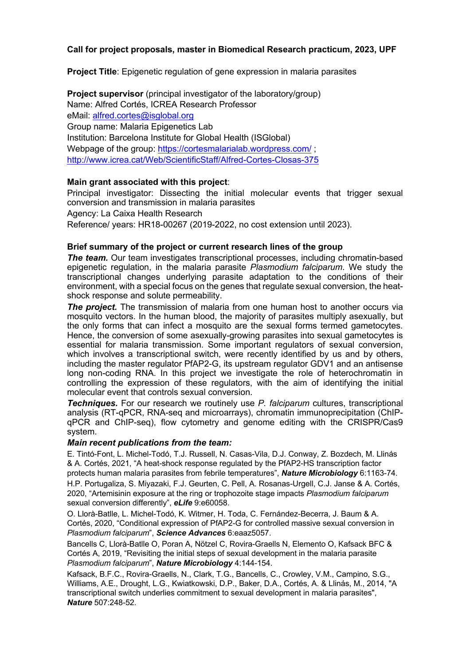## **Call for project proposals, master in Biomedical Research practicum, 2023, UPF**

**Project Title**: Epigenetic regulation of gene expression in malaria parasites

**Project supervisor** (principal investigator of the laboratory/group) Name: Alfred Cortés, ICREA Research Professor eMail: alfred.cortes@isglobal.org Group name: Malaria Epigenetics Lab Institution: Barcelona Institute for Global Health (ISGlobal) Webpage of the group: https://cortesmalarialab.wordpress.com/; http://www.icrea.cat/Web/ScientificStaff/Alfred-Cortes-Closas-375

## **Main grant associated with this project**:

Principal investigator: Dissecting the initial molecular events that trigger sexual conversion and transmission in malaria parasites

Agency: La Caixa Health Research

Reference/ years: HR18-00267 (2019-2022, no cost extension until 2023).

### **Brief summary of the project or current research lines of the group**

**The team.** Our team investigates transcriptional processes, including chromatin-based epigenetic regulation, in the malaria parasite *Plasmodium falciparum*. We study the transcriptional changes underlying parasite adaptation to the conditions of their environment, with a special focus on the genes that regulate sexual conversion, the heatshock response and solute permeability.

**The project.** The transmission of malaria from one human host to another occurs via mosquito vectors. In the human blood, the majority of parasites multiply asexually, but the only forms that can infect a mosquito are the sexual forms termed gametocytes. Hence, the conversion of some asexually-growing parasites into sexual gametocytes is essential for malaria transmission. Some important regulators of sexual conversion, which involves a transcriptional switch, were recently identified by us and by others, including the master regulator PfAP2-G, its upstream regulator GDV1 and an antisense long non-coding RNA. In this project we investigate the role of heterochromatin in controlling the expression of these regulators, with the aim of identifying the initial molecular event that controls sexual conversion.

*Techniques.* For our research we routinely use *P. falciparum* cultures, transcriptional analysis (RT-qPCR, RNA-seq and microarrays), chromatin immunoprecipitation (ChIPqPCR and ChIP-seq), flow cytometry and genome editing with the CRISPR/Cas9 system.

#### *Main recent publications from the team:*

E. Tintó-Font, L. Michel-Todó, T.J. Russell, N. Casas-Vila, D.J. Conway, Z. Bozdech, M. Llinás & A. Cortés, 2021, "A heat-shock response regulated by the PfAP2-HS transcription factor protects human malaria parasites from febrile temperatures", *Nature Microbiology* 6:1163-74.

H.P. Portugaliza, S. Miyazaki, F.J. Geurten, C. Pell, A. Rosanas-Urgell, C.J. Janse & A. Cortés, 2020, "Artemisinin exposure at the ring or trophozoite stage impacts *Plasmodium falciparum* sexual conversion differently", *eLife* 9:e60058.

O. Llorà-Batlle, L. Michel-Todó, K. Witmer, H. Toda, C. Fernández-Becerra, J. Baum & A. Cortés, 2020, "Conditional expression of PfAP2-G for controlled massive sexual conversion in *Plasmodium falciparum*", *Science Advances* 6:eaaz5057.

Bancells C, Llorà-Batlle O, Poran A, Nötzel C, Rovira-Graells N, Elemento O, Kafsack BFC & Cortés A, 2019, "Revisiting the initial steps of sexual development in the malaria parasite *Plasmodium falciparum*", *Nature Microbiology* 4:144-154.

Kafsack, B.F.C., Rovira-Graells, N., Clark, T.G., Bancells, C., Crowley, V.M., Campino, S.G., Williams, A.E., Drought, L.G., Kwiatkowski, D.P., Baker, D.A., Cortés, A. & Llinás, M., 2014, "A transcriptional switch underlies commitment to sexual development in malaria parasites", *Nature* 507:248-52.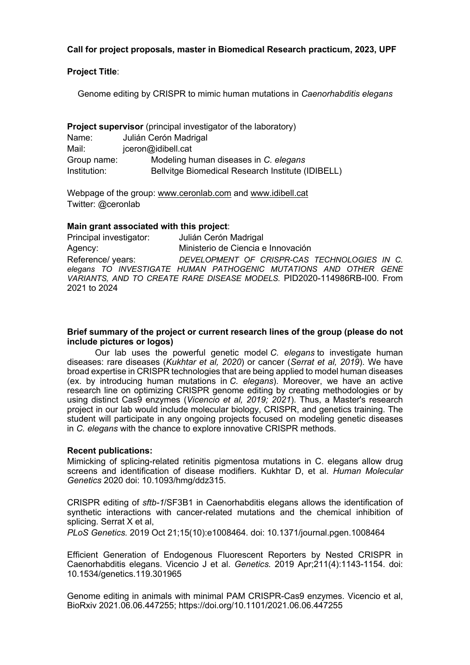## **Call for project proposals, master in Biomedical Research practicum, 2023, UPF**

## **Project Title**:

Genome editing by CRISPR to mimic human mutations in *Caenorhabditis elegans* 

| <b>Project supervisor</b> (principal investigator of the laboratory) |                                                   |  |
|----------------------------------------------------------------------|---------------------------------------------------|--|
| Name:                                                                | Julián Cerón Madrigal                             |  |
| Mail:                                                                | jceron@idibell.cat                                |  |
| Group name:                                                          | Modeling human diseases in C. elegans             |  |
| Institution:                                                         | Bellvitge Biomedical Research Institute (IDIBELL) |  |

Webpage of the group: www.ceronlab.com and www.idibell.cat Twitter: @ceronlab

### **Main grant associated with this project**:

Principal investigator: Julián Cerón Madrigal Agency: Ministerio de Ciencia e Innovación Reference/ years: *DEVELOPMENT OF CRISPR-CAS TECHNOLOGIES IN C. elegans TO INVESTIGATE HUMAN PATHOGENIC MUTATIONS AND OTHER GENE VARIANTS, AND TO CREATE RARE DISEASE MODELS.* PID2020-114986RB-I00. From 2021 to 2024

#### **Brief summary of the project or current research lines of the group (please do not include pictures or logos)**

Our lab uses the powerful genetic model *C. elegans* to investigate human diseases: rare diseases (*Kukhtar et al, 2020*) or cancer (*Serrat et al, 2019*). We have broad expertise in CRISPR technologies that are being applied to model human diseases (ex. by introducing human mutations in *C. elegans*). Moreover, we have an active research line on optimizing CRISPR genome editing by creating methodologies or by using distinct Cas9 enzymes (*Vicencio et al, 2019; 2021*). Thus, a Master's research project in our lab would include molecular biology, CRISPR, and genetics training. The student will participate in any ongoing projects focused on modeling genetic diseases in *C. elegans* with the chance to explore innovative CRISPR methods.

#### **Recent publications:**

Mimicking of splicing-related retinitis pigmentosa mutations in C. elegans allow drug screens and identification of disease modifiers. Kukhtar D, et al. *Human Molecular Genetics* 2020 doi: 10.1093/hmg/ddz315.

CRISPR editing of *sftb-1*/SF3B1 in Caenorhabditis elegans allows the identification of synthetic interactions with cancer-related mutations and the chemical inhibition of splicing. Serrat X et al,

*PLoS Genetics.* 2019 Oct 21;15(10):e1008464. doi: 10.1371/journal.pgen.1008464

Efficient Generation of Endogenous Fluorescent Reporters by Nested CRISPR in Caenorhabditis elegans. Vicencio J et al. *Genetics.* 2019 Apr;211(4):1143-1154. doi: 10.1534/genetics.119.301965

Genome editing in animals with minimal PAM CRISPR-Cas9 enzymes. Vicencio et al, BioRxiv 2021.06.06.447255; https://doi.org/10.1101/2021.06.06.447255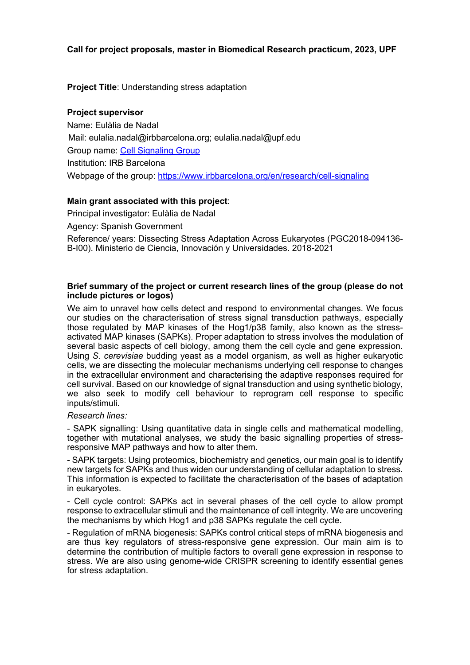**Project Title**: Understanding stress adaptation

### **Project supervisor**

Name: Eulàlia de Nadal Mail: eulalia.nadal@irbbarcelona.org; eulalia.nadal@upf.edu Group name: Cell Signaling Group Institution: IRB Barcelona Webpage of the group: https://www.irbbarcelona.org/en/research/cell-signaling

### **Main grant associated with this project**:

Principal investigator: Eulàlia de Nadal

Agency: Spanish Government

Reference/ years: Dissecting Stress Adaptation Across Eukaryotes (PGC2018-094136- B-I00). Ministerio de Ciencia, Innovación y Universidades. 2018-2021

#### **Brief summary of the project or current research lines of the group (please do not include pictures or logos)**

We aim to unravel how cells detect and respond to environmental changes. We focus our studies on the characterisation of stress signal transduction pathways, especially those regulated by MAP kinases of the Hog1/p38 family, also known as the stressactivated MAP kinases (SAPKs). Proper adaptation to stress involves the modulation of several basic aspects of cell biology, among them the cell cycle and gene expression. Using *S. cerevisiae* budding yeast as a model organism, as well as higher eukaryotic cells, we are dissecting the molecular mechanisms underlying cell response to changes in the extracellular environment and characterising the adaptive responses required for cell survival. Based on our knowledge of signal transduction and using synthetic biology, we also seek to modify cell behaviour to reprogram cell response to specific inputs/stimuli.

## *Research lines:*

- SAPK signalling: Using quantitative data in single cells and mathematical modelling, together with mutational analyses, we study the basic signalling properties of stressresponsive MAP pathways and how to alter them.

- SAPK targets: Using proteomics, biochemistry and genetics, our main goal is to identify new targets for SAPKs and thus widen our understanding of cellular adaptation to stress. This information is expected to facilitate the characterisation of the bases of adaptation in eukaryotes.

- Cell cycle control: SAPKs act in several phases of the cell cycle to allow prompt response to extracellular stimuli and the maintenance of cell integrity. We are uncovering the mechanisms by which Hog1 and p38 SAPKs regulate the cell cycle.

- Regulation of mRNA biogenesis: SAPKs control critical steps of mRNA biogenesis and are thus key regulators of stress-responsive gene expression. Our main aim is to determine the contribution of multiple factors to overall gene expression in response to stress. We are also using genome-wide CRISPR screening to identify essential genes for stress adaptation.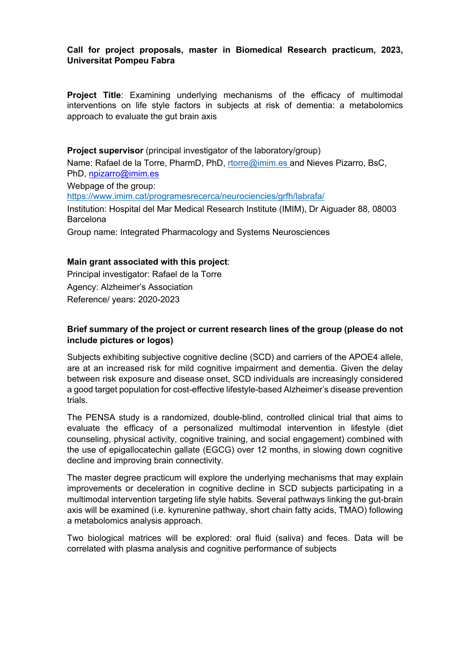**Project Title**: Examining underlying mechanisms of the efficacy of multimodal interventions on life style factors in subjects at risk of dementia: a metabolomics approach to evaluate the gut brain axis

**Project supervisor** (principal investigator of the laboratory/group) Name: Rafael de la Torre, PharmD, PhD, rtorre@imim.es and Nieves Pizarro, BsC, PhD, npizarro@imim.es Webpage of the group: https://www.imim.cat/programesrecerca/neurociencies/grfh/labrafa/ Institution: Hospital del Mar Medical Research Institute (IMIM), Dr Aiguader 88, 08003 Barcelona Group name: Integrated Pharmacology and Systems Neurosciences

## **Main grant associated with this project**:

Principal investigator: Rafael de la Torre Agency: Alzheimer's Association Reference/ years: 2020-2023

## **Brief summary of the project or current research lines of the group (please do not include pictures or logos)**

Subjects exhibiting subjective cognitive decline (SCD) and carriers of the APOE4 allele, are at an increased risk for mild cognitive impairment and dementia. Given the delay between risk exposure and disease onset, SCD individuals are increasingly considered a good target population for cost-effective lifestyle-based Alzheimer's disease prevention trials.

The PENSA study is a randomized, double-blind, controlled clinical trial that aims to evaluate the efficacy of a personalized multimodal intervention in lifestyle (diet counseling, physical activity, cognitive training, and social engagement) combined with the use of epigallocatechin gallate (EGCG) over 12 months, in slowing down cognitive decline and improving brain connectivity.

The master degree practicum will explore the underlying mechanisms that may explain improvements or deceleration in cognitive decline in SCD subjects participating in a multimodal intervention targeting life style habits. Several pathways linking the gut-brain axis will be examined (i.e. kynurenine pathway, short chain fatty acids, TMAO) following a metabolomics analysis approach.

Two biological matrices will be explored: oral fluid (saliva) and feces. Data will be correlated with plasma analysis and cognitive performance of subjects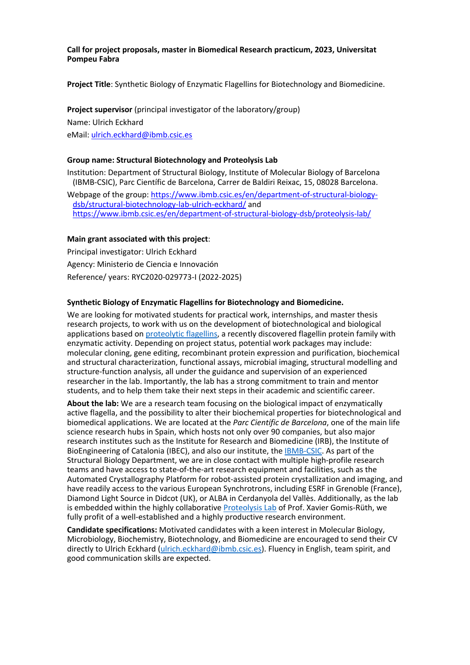**Project Title**: Synthetic Biology of Enzymatic Flagellins for Biotechnology and Biomedicine.

#### **Project supervisor** (principal investigator of the laboratory/group)

Name: Ulrich Eckhard eMail: ulrich.eckhard@ibmb.csic.es

#### **Group name: Structural Biotechnology and Proteolysis Lab**

Institution: Department of Structural Biology, Institute of Molecular Biology of Barcelona (IBMB-CSIC), Parc Científic de Barcelona, Carrer de Baldiri Reixac, 15, 08028 Barcelona.

Webpage of the group: https://www.ibmb.csic.es/en/department-of-structural-biologydsb/structural-biotechnology-lab-ulrich-eckhard/ and https://www.ibmb.csic.es/en/department-of-structural-biology-dsb/proteolysis-lab/

#### **Main grant associated with this project**:

Principal investigator: Ulrich Eckhard Agency: Ministerio de Ciencia e Innovación Reference/ years: RYC2020-029773-I (2022-2025)

#### **Synthetic Biology of Enzymatic Flagellins for Biotechnology and Biomedicine.**

We are looking for motivated students for practical work, internships, and master thesis research projects, to work with us on the development of biotechnological and biological applications based on proteolytic flagellins, a recently discovered flagellin protein family with enzymatic activity. Depending on project status, potential work packages may include: molecular cloning, gene editing, recombinant protein expression and purification, biochemical and structural characterization, functional assays, microbial imaging, structural modelling and structure-function analysis, all under the guidance and supervision of an experienced researcher in the lab. Importantly, the lab has a strong commitment to train and mentor students, and to help them take their next steps in their academic and scientific career.

**About the lab:** We are a research team focusing on the biological impact of enzymatically active flagella, and the possibility to alter their biochemical properties for biotechnological and biomedical applications. We are located at the *Parc Científic de Barcelona*, one of the main life science research hubs in Spain, which hosts not only over 90 companies, but also major research institutes such as the Institute for Research and Biomedicine (IRB), the Institute of BioEngineering of Catalonia (IBEC), and also our institute, the IBMB-CSIC. As part of the Structural Biology Department, we are in close contact with multiple high-profile research teams and have access to state-of-the-art research equipment and facilities, such as the Automated Crystallography Platform for robot-assisted protein crystallization and imaging, and have readily access to the various European Synchrotrons, including ESRF in Grenoble (France), Diamond Light Source in Didcot (UK), or ALBA in Cerdanyola del Vallès. Additionally, as the lab is embedded within the highly collaborative Proteolysis Lab of Prof. Xavier Gomis-Rüth, we fully profit of a well-established and a highly productive research environment.

**Candidate specifications:** Motivated candidates with a keen interest in Molecular Biology, Microbiology, Biochemistry, Biotechnology, and Biomedicine are encouraged to send their CV directly to Ulrich Eckhard (ulrich.eckhard@ibmb.csic.es). Fluency in English, team spirit, and good communication skills are expected.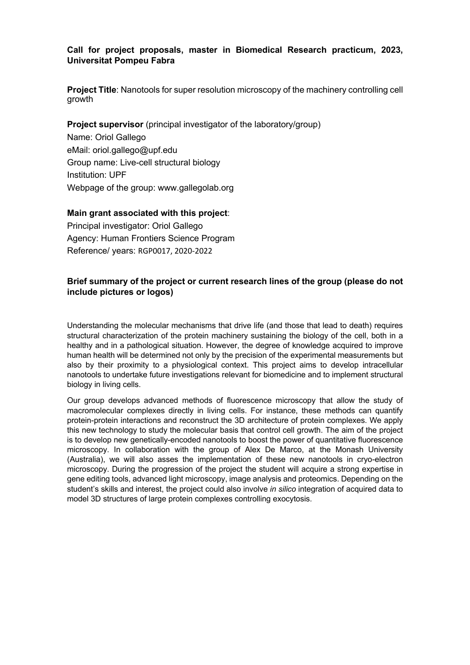**Project Title**: Nanotools for super resolution microscopy of the machinery controlling cell growth

## **Project supervisor** (principal investigator of the laboratory/group)

Name: Oriol Gallego eMail: oriol.gallego@upf.edu Group name: Live-cell structural biology Institution: UPF Webpage of the group: www.gallegolab.org

### **Main grant associated with this project**:

Principal investigator: Oriol Gallego Agency: Human Frontiers Science Program Reference/ years: RGP0017, 2020-2022

## **Brief summary of the project or current research lines of the group (please do not include pictures or logos)**

Understanding the molecular mechanisms that drive life (and those that lead to death) requires structural characterization of the protein machinery sustaining the biology of the cell, both in a healthy and in a pathological situation. However, the degree of knowledge acquired to improve human health will be determined not only by the precision of the experimental measurements but also by their proximity to a physiological context. This project aims to develop intracellular nanotools to undertake future investigations relevant for biomedicine and to implement structural biology in living cells.

Our group develops advanced methods of fluorescence microscopy that allow the study of macromolecular complexes directly in living cells. For instance, these methods can quantify protein-protein interactions and reconstruct the 3D architecture of protein complexes. We apply this new technology to study the molecular basis that control cell growth. The aim of the project is to develop new genetically-encoded nanotools to boost the power of quantitative fluorescence microscopy. In collaboration with the group of Alex De Marco, at the Monash University (Australia), we will also asses the implementation of these new nanotools in cryo-electron microscopy. During the progression of the project the student will acquire a strong expertise in gene editing tools, advanced light microscopy, image analysis and proteomics. Depending on the student's skills and interest, the project could also involve *in silico* integration of acquired data to model 3D structures of large protein complexes controlling exocytosis.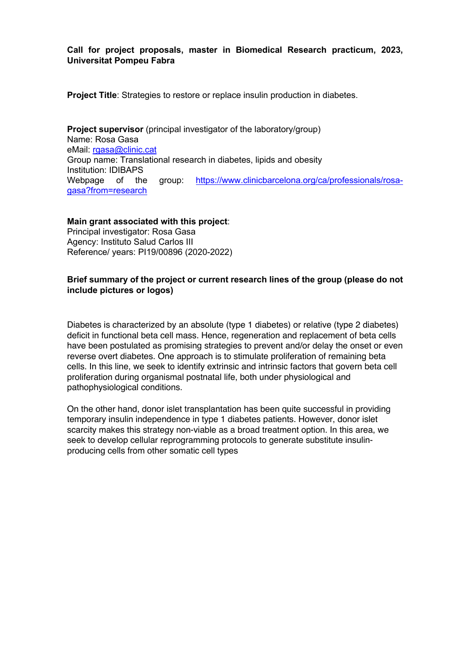**Project Title:** Strategies to restore or replace insulin production in diabetes.

**Project supervisor** (principal investigator of the laboratory/group) Name: Rosa Gasa eMail: rgasa@clinic.cat Group name: Translational research in diabetes, lipids and obesity Institution: IDIBAPS Webpage of the group: https://www.clinicbarcelona.org/ca/professionals/rosagasa?from=research

## **Main grant associated with this project**:

Principal investigator: Rosa Gasa Agency: Instituto Salud Carlos III Reference/ years: PI19/00896 (2020-2022)

## **Brief summary of the project or current research lines of the group (please do not include pictures or logos)**

Diabetes is characterized by an absolute (type 1 diabetes) or relative (type 2 diabetes) deficit in functional beta cell mass. Hence, regeneration and replacement of beta cells have been postulated as promising strategies to prevent and/or delay the onset or even reverse overt diabetes. One approach is to stimulate proliferation of remaining beta cells. In this line, we seek to identify extrinsic and intrinsic factors that govern beta cell proliferation during organismal postnatal life, both under physiological and pathophysiological conditions.

On the other hand, donor islet transplantation has been quite successful in providing temporary insulin independence in type 1 diabetes patients. However, donor islet scarcity makes this strategy non-viable as a broad treatment option. In this area, we seek to develop cellular reprogramming protocols to generate substitute insulinproducing cells from other somatic cell types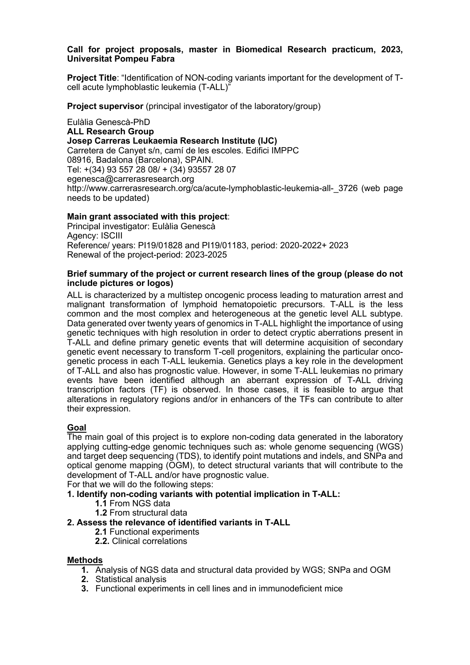**Project Title**: "Identification of NON-coding variants important for the development of Tcell acute lymphoblastic leukemia (T-ALL)"

**Project supervisor** (principal investigator of the laboratory/group)

Eulàlia Genescà-PhD **ALL Research Group Josep Carreras Leukaemia Research Institute (IJC)** Carretera de Canyet s/n, camí de les escoles. Edifici IMPPC 08916, Badalona (Barcelona), SPAIN. Tel: +(34) 93 557 28 08/ + (34) 93557 28 07 egenesca@carrerasresearch.org http://www.carrerasresearch.org/ca/acute-lymphoblastic-leukemia-all-\_3726 (web page needs to be updated)

## **Main grant associated with this project**:

Principal investigator: Eulàlia Genescà Agency: ISCIII Reference/ years: PI19/01828 and PI19/01183, period: 2020-2022+ 2023 Renewal of the project-period: 2023-2025

#### **Brief summary of the project or current research lines of the group (please do not include pictures or logos)**

ALL is characterized by a multistep oncogenic process leading to maturation arrest and malignant transformation of lymphoid hematopoietic precursors. T-ALL is the less common and the most complex and heterogeneous at the genetic level ALL subtype. Data generated over twenty years of genomics in T-ALL highlight the importance of using genetic techniques with high resolution in order to detect cryptic aberrations present in T-ALL and define primary genetic events that will determine acquisition of secondary genetic event necessary to transform T-cell progenitors, explaining the particular oncogenetic process in each T-ALL leukemia. Genetics plays a key role in the development of T-ALL and also has prognostic value. However, in some T-ALL leukemias no primary events have been identified although an aberrant expression of T-ALL driving transcription factors (TF) is observed. In those cases, it is feasible to argue that alterations in regulatory regions and/or in enhancers of the TFs can contribute to alter their expression.

## **Goal**

The main goal of this project is to explore non-coding data generated in the laboratory applying cutting-edge genomic techniques such as: whole genome sequencing (WGS) and target deep sequencing (TDS), to identify point mutations and indels, and SNPa and optical genome mapping (OGM), to detect structural variants that will contribute to the development of T-ALL and/or have prognostic value.

For that we will do the following steps:

- **1. Identify non-coding variants with potential implication in T-ALL:**
	- **1.1** From NGS data
	- **1.2** From structural data

## **2. Assess the relevance of identified variants in T-ALL**

- **2.1** Functional experiments
- **2.2.** Clinical correlations

## **Methods**

- **1.** Analysis of NGS data and structural data provided by WGS; SNPa and OGM
- **2.** Statistical analysis
- **3.** Functional experiments in cell lines and in immunodeficient mice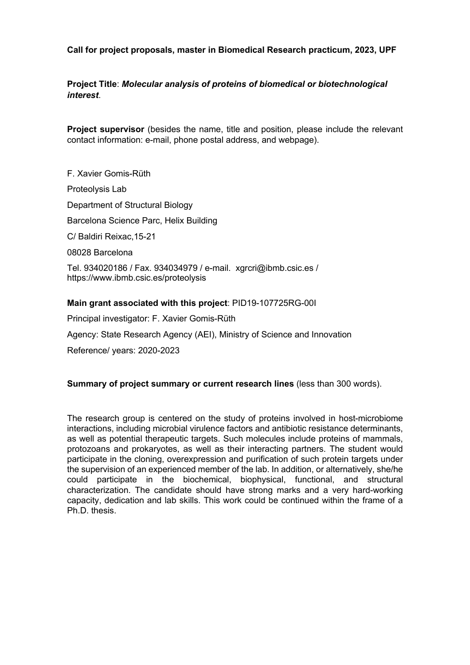**Call for project proposals, master in Biomedical Research practicum, 2023, UPF**

**Project Title**: *Molecular analysis of proteins of biomedical or biotechnological interest*.

**Project supervisor** (besides the name, title and position, please include the relevant contact information: e-mail, phone postal address, and webpage).

F. Xavier Gomis-Rüth Proteolysis Lab Department of Structural Biology Barcelona Science Parc, Helix Building C/ Baldiri Reixac,15-21 08028 Barcelona Tel. 934020186 / Fax. 934034979 / e-mail. xgrcri@ibmb.csic.es / https://www.ibmb.csic.es/proteolysis

## **Main grant associated with this project**: PID19-107725RG-00I

Principal investigator: F. Xavier Gomis-Rüth

Agency: State Research Agency (AEI), Ministry of Science and Innovation

Reference/ years: 2020-2023

## **Summary of project summary or current research lines** (less than 300 words).

The research group is centered on the study of proteins involved in host-microbiome interactions, including microbial virulence factors and antibiotic resistance determinants, as well as potential therapeutic targets. Such molecules include proteins of mammals, protozoans and prokaryotes, as well as their interacting partners. The student would participate in the cloning, overexpression and purification of such protein targets under the supervision of an experienced member of the lab. In addition, or alternatively, she/he could participate in the biochemical, biophysical, functional, and structural characterization. The candidate should have strong marks and a very hard-working capacity, dedication and lab skills. This work could be continued within the frame of a Ph.D. thesis.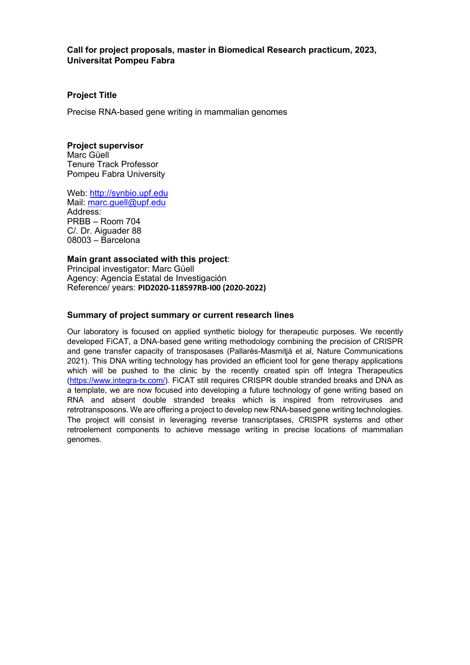### **Project Title**

Precise RNA-based gene writing in mammalian genomes

## **Project supervisor**

Marc Güell Tenure Track Professor Pompeu Fabra University

Web: http://synbio.upf.edu Mail: marc.guell@upf.edu Address: PRBB – Room 704 C/. Dr. Aiguader 88 08003 – Barcelona

**Main grant associated with this project**: Principal investigator: Marc Güell Agency: Agencia Estatal de Investigación Reference/ years: **PID2020-118597RB-I00 (2020-2022)**

#### **Summary of project summary or current research lines**

Our laboratory is focused on applied synthetic biology for therapeutic purposes. We recently developed FiCAT, a DNA-based gene writing methodology combining the precision of CRISPR and gene transfer capacity of transposases (Pallarès-Masmitjà et al, Nature Communications 2021). This DNA writing technology has provided an efficient tool for gene therapy applications which will be pushed to the clinic by the recently created spin off Integra Therapeutics (https://www.integra-tx.com/). FiCAT still requires CRISPR double stranded breaks and DNA as a template, we are now focused into developing a future technology of gene writing based on RNA and absent double stranded breaks which is inspired from retroviruses and retrotransposons. We are offering a project to develop new RNA-based gene writing technologies. The project will consist in leveraging reverse transcriptases, CRISPR systems and other retroelement components to achieve message writing in precise locations of mammalian genomes.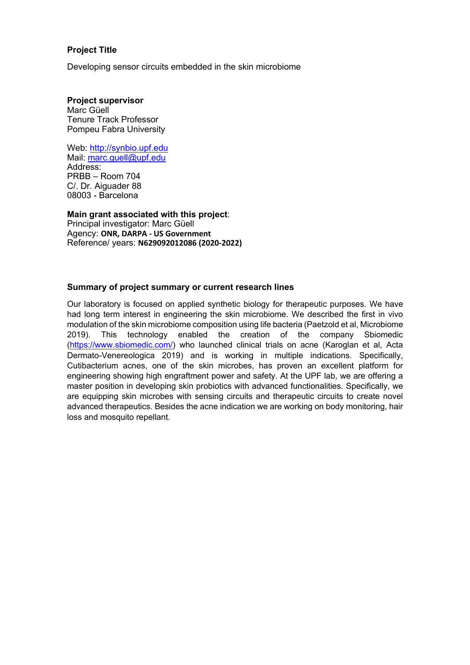### **Project Title**

Developing sensor circuits embedded in the skin microbiome

**Project supervisor** Marc Güell Tenure Track Professor Pompeu Fabra University

Web: http://synbio.upf.edu Mail: marc.guell@upf.edu Address: PRBB – Room 704 C/. Dr. Aiguader 88 08003 - Barcelona

**Main grant associated with this project**:

Principal investigator: Marc Güell Agency: **ONR, DARPA - US Government** Reference/ years: **N629092012086 (2020-2022)**

#### **Summary of project summary or current research lines**

Our laboratory is focused on applied synthetic biology for therapeutic purposes. We have had long term interest in engineering the skin microbiome. We described the first in vivo modulation of the skin microbiome composition using life bacteria (Paetzold et al, Microbiome 2019). This technology enabled the creation of the company Sbiomedic (https://www.sbiomedic.com/) who launched clinical trials on acne (Karoglan et al, Acta Dermato-Venereologica 2019) and is working in multiple indications. Specifically, Cutibacterium acnes, one of the skin microbes, has proven an excellent platform for engineering showing high engraftment power and safety. At the UPF lab, we are offering a master position in developing skin probiotics with advanced functionalities. Specifically, we are equipping skin microbes with sensing circuits and therapeutic circuits to create novel advanced therapeutics. Besides the acne indication we are working on body monitoring, hair loss and mosquito repellant.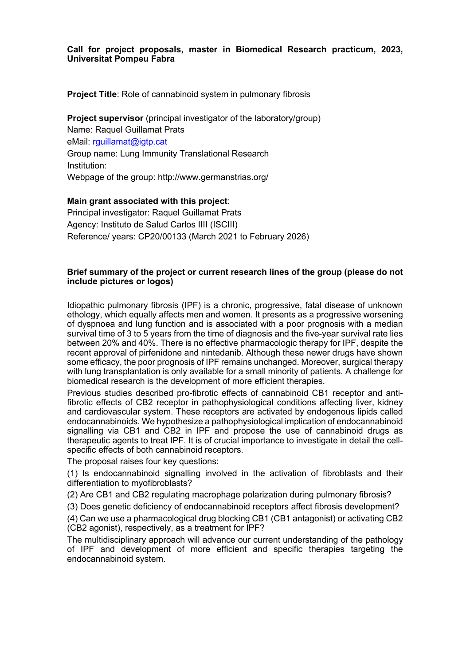**Project Title**: Role of cannabinoid system in pulmonary fibrosis

**Project supervisor** (principal investigator of the laboratory/group) Name: Raquel Guillamat Prats eMail: rguillamat@igtp.cat Group name: Lung Immunity Translational Research Institution: Webpage of the group: http://www.germanstrias.org/

## **Main grant associated with this project**:

Principal investigator: Raquel Guillamat Prats Agency: Instituto de Salud Carlos IIII (ISCIII) Reference/ years: CP20/00133 (March 2021 to February 2026)

#### **Brief summary of the project or current research lines of the group (please do not include pictures or logos)**

Idiopathic pulmonary fibrosis (IPF) is a chronic, progressive, fatal disease of unknown ethology, which equally affects men and women. It presents as a progressive worsening of dyspnoea and lung function and is associated with a poor prognosis with a median survival time of 3 to 5 years from the time of diagnosis and the five-year survival rate lies between 20% and 40%. There is no effective pharmacologic therapy for IPF, despite the recent approval of pirfenidone and nintedanib. Although these newer drugs have shown some efficacy, the poor prognosis of IPF remains unchanged. Moreover, surgical therapy with lung transplantation is only available for a small minority of patients. A challenge for biomedical research is the development of more efficient therapies.

Previous studies described pro-fibrotic effects of cannabinoid CB1 receptor and antifibrotic effects of CB2 receptor in pathophysiological conditions affecting liver, kidney and cardiovascular system. These receptors are activated by endogenous lipids called endocannabinoids. We hypothesize a pathophysiological implication of endocannabinoid signalling via CB1 and CB2 in IPF and propose the use of cannabinoid drugs as therapeutic agents to treat IPF. It is of crucial importance to investigate in detail the cellspecific effects of both cannabinoid receptors.

The proposal raises four key questions:

(1) Is endocannabinoid signalling involved in the activation of fibroblasts and their differentiation to myofibroblasts?

(2) Are CB1 and CB2 regulating macrophage polarization during pulmonary fibrosis?

(3) Does genetic deficiency of endocannabinoid receptors affect fibrosis development?

(4) Can we use a pharmacological drug blocking CB1 (CB1 antagonist) or activating CB2 (CB2 agonist), respectively, as a treatment for IPF?

The multidisciplinary approach will advance our current understanding of the pathology of IPF and development of more efficient and specific therapies targeting the endocannabinoid system.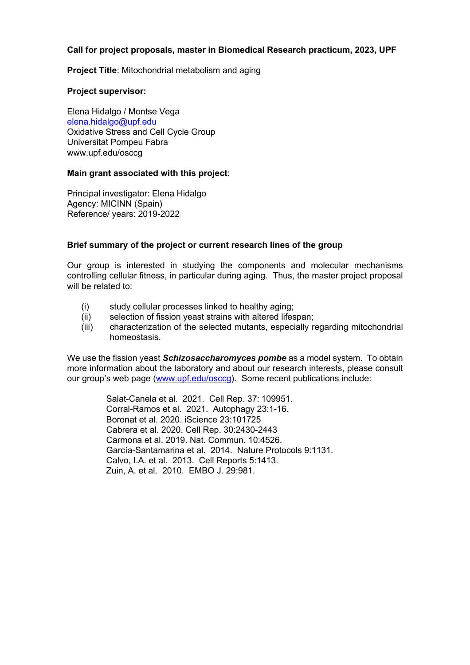## **Call for project proposals, master in Biomedical Research practicum, 2023, UPF**

**Project Title**: Mitochondrial metabolism and aging

## **Project supervisor:**

Elena Hidalgo / Montse Vega elena.hidalgo@upf.edu Oxidative Stress and Cell Cycle Group Universitat Pompeu Fabra www.upf.edu/osccg

## **Main grant associated with this project**:

Principal investigator: Elena Hidalgo Agency: MICINN (Spain) Reference/ years: 2019-2022

## **Brief summary of the project or current research lines of the group**

Our group is interested in studying the components and molecular mechanisms controlling cellular fitness, in particular during aging. Thus, the master project proposal will be related to:

- (i) study cellular processes linked to healthy aging;
- (ii) selection of fission yeast strains with altered lifespan;
- (iii) characterization of the selected mutants, especially regarding mitochondrial homeostasis.

We use the fission yeast *Schizosaccharomyces pombe* as a model system. To obtain more information about the laboratory and about our research interests, please consult our group's web page (www.upf.edu/osccg). Some recent publications include:

> Salat-Canela et al. 2021. Cell Rep. 37: 109951. Corral-Ramos et al. 2021. Autophagy 23:1-16. Boronat et al. 2020. iScience 23:101725 Cabrera et al. 2020. Cell Rep. 30:2430-2443 Carmona et al. 2019. Nat. Commun. 10:4526. García-Santamarina et al. 2014. Nature Protocols 9:1131. Calvo, I.A. et al. 2013. Cell Reports 5:1413. Zuin, A. et al. 2010. EMBO J. 29:981.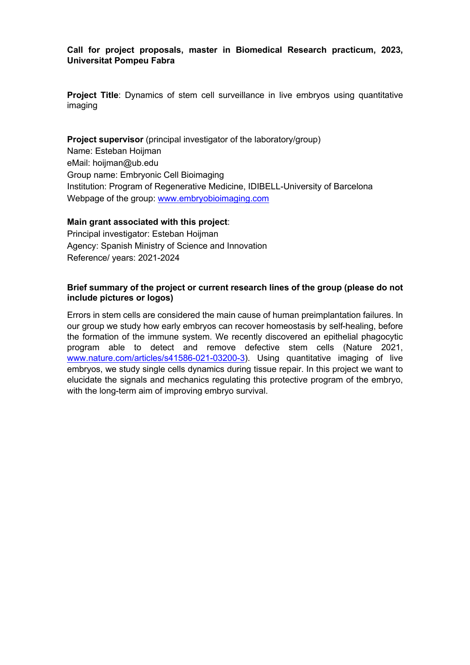**Project Title:** Dynamics of stem cell surveillance in live embryos using quantitative imaging

**Project supervisor** (principal investigator of the laboratory/group) Name: Esteban Hoijman eMail: hoiiman@ub.edu Group name: Embryonic Cell Bioimaging Institution: Program of Regenerative Medicine, IDIBELL-University of Barcelona Webpage of the group: www.embryobioimaging.com

### **Main grant associated with this project**:

Principal investigator: Esteban Hoijman Agency: Spanish Ministry of Science and Innovation Reference/ years: 2021-2024

## **Brief summary of the project or current research lines of the group (please do not include pictures or logos)**

Errors in stem cells are considered the main cause of human preimplantation failures. In our group we study how early embryos can recover homeostasis by self-healing, before the formation of the immune system. We recently discovered an epithelial phagocytic program able to detect and remove defective stem cells (Nature 2021, www.nature.com/articles/s41586-021-03200-3). Using quantitative imaging of live embryos, we study single cells dynamics during tissue repair. In this project we want to elucidate the signals and mechanics regulating this protective program of the embryo, with the long-term aim of improving embryo survival.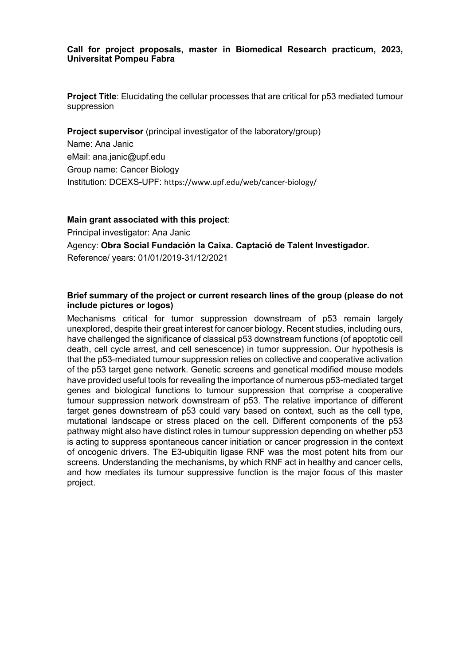**Project Title**: Elucidating the cellular processes that are critical for p53 mediated tumour suppression

**Project supervisor** (principal investigator of the laboratory/group)

Name: Ana Janic eMail: ana.janic@upf.edu Group name: Cancer Biology Institution: DCEXS-UPF: https://www.upf.edu/web/cancer-biology/

### **Main grant associated with this project**:

Principal investigator: Ana Janic Agency: **Obra Social Fundación la Caixa. Captació de Talent Investigador.**  Reference/ years: 01/01/2019-31/12/2021

### **Brief summary of the project or current research lines of the group (please do not include pictures or logos)**

Mechanisms critical for tumor suppression downstream of p53 remain largely unexplored, despite their great interest for cancer biology. Recent studies, including ours, have challenged the significance of classical p53 downstream functions (of apoptotic cell death, cell cycle arrest, and cell senescence) in tumor suppression. Our hypothesis is that the p53-mediated tumour suppression relies on collective and cooperative activation of the p53 target gene network. Genetic screens and genetical modified mouse models have provided useful tools for revealing the importance of numerous p53-mediated target genes and biological functions to tumour suppression that comprise a cooperative tumour suppression network downstream of p53. The relative importance of different target genes downstream of p53 could vary based on context, such as the cell type, mutational landscape or stress placed on the cell. Different components of the p53 pathway might also have distinct roles in tumour suppression depending on whether p53 is acting to suppress spontaneous cancer initiation or cancer progression in the context of oncogenic drivers. The E3-ubiquitin ligase RNF was the most potent hits from our screens. Understanding the mechanisms, by which RNF act in healthy and cancer cells, and how mediates its tumour suppressive function is the major focus of this master project.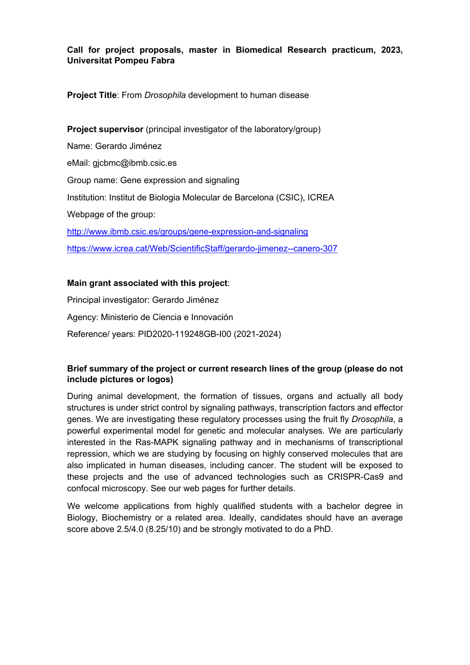## **Project Title**: From *Drosophila* development to human disease

**Project supervisor** (principal investigator of the laboratory/group) Name: Gerardo Jiménez eMail: gjcbmc@ibmb.csic.es Group name: Gene expression and signaling Institution: Institut de Biologia Molecular de Barcelona (CSIC), ICREA Webpage of the group: http://www.ibmb.csic.es/groups/gene-expression-and-signaling https://www.icrea.cat/Web/ScientificStaff/gerardo-jimenez--canero-307

## **Main grant associated with this project**:

Principal investigator: Gerardo Jiménez Agency: Ministerio de Ciencia e Innovación Reference/ years: PID2020-119248GB-I00 (2021-2024)

## **Brief summary of the project or current research lines of the group (please do not include pictures or logos)**

During animal development, the formation of tissues, organs and actually all body structures is under strict control by signaling pathways, transcription factors and effector genes. We are investigating these regulatory processes using the fruit fly *Drosophila*, a powerful experimental model for genetic and molecular analyses. We are particularly interested in the Ras-MAPK signaling pathway and in mechanisms of transcriptional repression, which we are studying by focusing on highly conserved molecules that are also implicated in human diseases, including cancer. The student will be exposed to these projects and the use of advanced technologies such as CRISPR-Cas9 and confocal microscopy. See our web pages for further details.

We welcome applications from highly qualified students with a bachelor degree in Biology, Biochemistry or a related area. Ideally, candidates should have an average score above 2.5/4.0 (8.25/10) and be strongly motivated to do a PhD.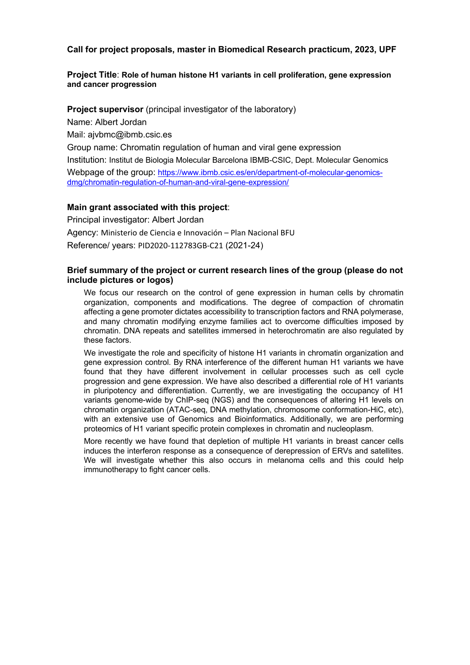### **Call for project proposals, master in Biomedical Research practicum, 2023, UPF**

### **Project Title**: **Role of human histone H1 variants in cell proliferation, gene expression and cancer progression**

#### **Project supervisor** (principal investigator of the laboratory)

Name: Albert Jordan

Mail: ajvbmc@ibmb.csic.es

Group name: Chromatin regulation of human and viral gene expression Institution: Institut de Biologia Molecular Barcelona IBMB-CSIC, Dept. Molecular Genomics Webpage of the group: https://www.ibmb.csic.es/en/department-of-molecular-genomicsdmg/chromatin-regulation-of-human-and-viral-gene-expression/

### **Main grant associated with this project**:

Principal investigator: Albert Jordan Agency: Ministerio de Ciencia e Innovación – Plan Nacional BFU Reference/ years: PID2020-112783GB-C21 (2021-24)

### **Brief summary of the project or current research lines of the group (please do not include pictures or logos)**

We focus our research on the control of gene expression in human cells by chromatin organization, components and modifications. The degree of compaction of chromatin affecting a gene promoter dictates accessibility to transcription factors and RNA polymerase, and many chromatin modifying enzyme families act to overcome difficulties imposed by chromatin. DNA repeats and satellites immersed in heterochromatin are also regulated by these factors.

We investigate the role and specificity of histone H1 variants in chromatin organization and gene expression control. By RNA interference of the different human H1 variants we have found that they have different involvement in cellular processes such as cell cycle progression and gene expression. We have also described a differential role of H1 variants in pluripotency and differentiation. Currently, we are investigating the occupancy of H1 variants genome-wide by ChIP-seq (NGS) and the consequences of altering H1 levels on chromatin organization (ATAC-seq, DNA methylation, chromosome conformation-HiC, etc), with an extensive use of Genomics and Bioinformatics. Additionally, we are performing proteomics of H1 variant specific protein complexes in chromatin and nucleoplasm.

More recently we have found that depletion of multiple H1 variants in breast cancer cells induces the interferon response as a consequence of derepression of ERVs and satellites. We will investigate whether this also occurs in melanoma cells and this could help immunotherapy to fight cancer cells.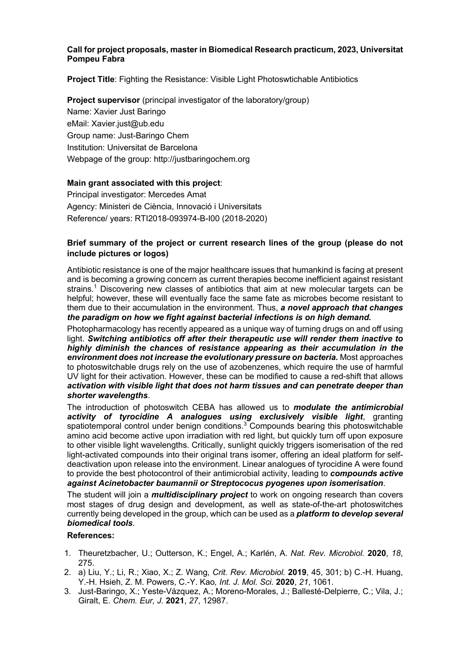**Project Title**: Fighting the Resistance: Visible Light Photoswtichable Antibiotics

**Project supervisor** (principal investigator of the laboratory/group) Name: Xavier Just Baringo eMail: Xavier.just@ub.edu Group name: Just-Baringo Chem Institution: Universitat de Barcelona Webpage of the group: http://justbaringochem.org

### **Main grant associated with this project**:

Principal investigator: Mercedes Amat Agency: Ministeri de Ciència, Innovació i Universitats Reference/ years: RTI2018-093974-B-I00 (2018-2020)

### **Brief summary of the project or current research lines of the group (please do not include pictures or logos)**

Antibiotic resistance is one of the major healthcare issues that humankind is facing at present and is becoming a growing concern as current therapies become inefficient against resistant strains.<sup>1</sup> Discovering new classes of antibiotics that aim at new molecular targets can be helpful; however, these will eventually face the same fate as microbes become resistant to them due to their accumulation in the environment. Thus, *a novel approach that changes the paradigm on how we fight against bacterial infections is on high demand.*

Photopharmacology has recently appeared as a unique way of turning drugs on and off using light. *Switching antibiotics off after their therapeutic use will render them inactive to highly diminish the chances of resistance appearing as their accumulation in the environment does not increase the evolutionary pressure on bacteria.* Most approaches to photoswitchable drugs rely on the use of azobenzenes, which require the use of harmful UV light for their activation. However, these can be modified to cause a red-shift that allows *activation with visible light that does not harm tissues and can penetrate deeper than shorter wavelengths*.

The introduction of photoswitch CEBA has allowed us to *modulate the antimicrobial activity of tyrocidine A analogues using exclusively visible light*, granting spatiotemporal control under benign conditions.<sup>3</sup> Compounds bearing this photoswitchable amino acid become active upon irradiation with red light, but quickly turn off upon exposure to other visible light wavelengths. Critically, sunlight quickly triggers isomerisation of the red light-activated compounds into their original trans isomer, offering an ideal platform for selfdeactivation upon release into the environment. Linear analogues of tyrocidine A were found to provide the best photocontrol of their antimicrobial activity, leading to *compounds active against Acinetobacter baumannii or Streptococus pyogenes upon isomerisation*.

The student will join a *multidisciplinary project* to work on ongoing research than covers most stages of drug design and development, as well as state-of-the-art photoswitches currently being developed in the group, which can be used as a *platform to develop several biomedical tools*.

### **References:**

- 1. Theuretzbacher, U.; Outterson, K.; Engel, A.; Karlén, A. *Nat. Rev. Microbiol.* **2020**, *18*, 275.
- 2. a) Liu, Y.; Li, R.; Xiao, X.; Z. Wang, *Crit. Rev. Microbiol.* **2019**, 45, 301; b) C.-H. Huang, Y.-H. Hsieh, Z. M. Powers, C.-Y. Kao*, Int. J. Mol. Sci.* **2020**, *21*, 1061.
- 3. Just-Baringo, X.; Yeste-Vázquez, A.; Moreno-Morales, J.; Ballesté-Delpierre, C.; Vila, J.; Giralt, E. *Chem. Eur, J.* **2021**, *27*, 12987.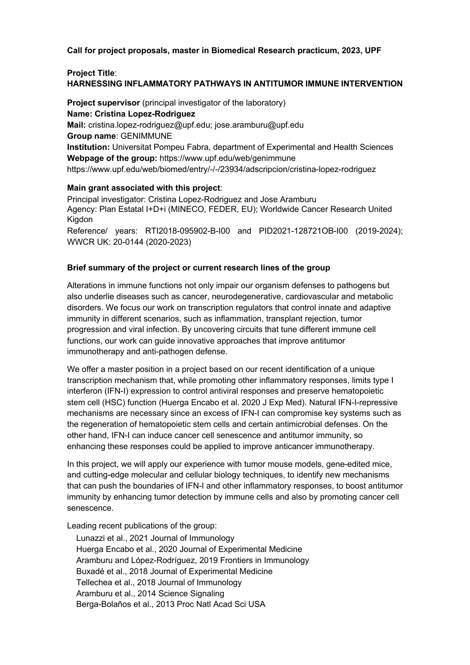**Call for project proposals, master in Biomedical Research practicum, 2023, UPF**

**Project Title**: **HARNESSING INFLAMMATORY PATHWAYS IN ANTITUMOR IMMUNE INTERVENTION**

**Project supervisor** (principal investigator of the laboratory) **Name: Cristina Lopez-Rodriguez Mail:** cristina.lopez-rodriguez@upf.edu; jose.aramburu@upf.edu **Group name**: GENIMMUNE **Institution:** Universitat Pompeu Fabra, department of Experimental and Health Sciences **Webpage of the group:** https://www.upf.edu/web/genimmune https://www.upf.edu/web/biomed/entry/-/-/23934/adscripcion/cristina-lopez-rodriguez

### **Main grant associated with this project**:

Principal investigator: Cristina Lopez-Rodriguez and Jose Aramburu Agency: Plan Estatal I+D+i (MINECO, FEDER, EU); Worldwide Cancer Research United Kigdon Reference/ years: RTI2018-095902-B-I00 and PID2021-128721OB-I00 (2019-2024); WWCR UK: 20-0144 (2020-2023)

## **Brief summary of the project or current research lines of the group**

Alterations in immune functions not only impair our organism defenses to pathogens but also underlie diseases such as cancer, neurodegenerative, cardiovascular and metabolic disorders. We focus our work on transcription regulators that control innate and adaptive immunity in different scenarios, such as inflammation, transplant rejection, tumor progression and viral infection. By uncovering circuits that tune different immune cell functions, our work can guide innovative approaches that improve antitumor immunotherapy and anti-pathogen defense.

We offer a master position in a project based on our recent identification of a unique transcription mechanism that, while promoting other inflammatory responses, limits type I interferon (IFN-I) expression to control antiviral responses and preserve hematopoietic stem cell (HSC) function (Huerga Encabo et al. 2020 J Exp Med). Natural IFN-I-repressive mechanisms are necessary since an excess of IFN-I can compromise key systems such as the regeneration of hematopoietic stem cells and certain antimicrobial defenses. On the other hand, IFN-I can induce cancer cell senescence and antitumor immunity, so enhancing these responses could be applied to improve anticancer immunotherapy.

In this project, we will apply our experience with tumor mouse models, gene-edited mice, and cutting-edge molecular and cellular biology techniques, to identify new mechanisms that can push the boundaries of IFN-I and other inflammatory responses, to boost antitumor immunity by enhancing tumor detection by immune cells and also by promoting cancer cell senescence.

Leading recent publications of the group:

 Lunazzi et al., 2021 Journal of Immunology Huerga Encabo et al., 2020 Journal of Experimental Medicine Aramburu and López-Rodríguez, 2019 Frontiers in Immunology Buxadé et al., 2018 Journal of Experimental Medicine Tellechea et al., 2018 Journal of Immunology Aramburu et al., 2014 Science Signaling Berga-Bolaños et al., 2013 Proc Natl Acad Sci USA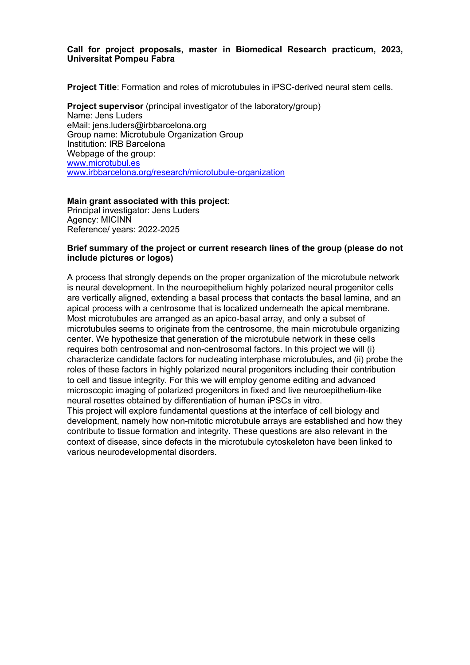**Project Title**: Formation and roles of microtubules in iPSC-derived neural stem cells.

**Project supervisor** (principal investigator of the laboratory/group) Name: Jens Luders eMail: jens.luders@irbbarcelona.org Group name: Microtubule Organization Group Institution: IRB Barcelona Webpage of the group: www.microtubul.es www.irbbarcelona.org/research/microtubule-organization

#### **Main grant associated with this project**:

Principal investigator: Jens Luders Agency: MICINN Reference/ years: 2022-2025

#### **Brief summary of the project or current research lines of the group (please do not include pictures or logos)**

A process that strongly depends on the proper organization of the microtubule network is neural development. In the neuroepithelium highly polarized neural progenitor cells are vertically aligned, extending a basal process that contacts the basal lamina, and an apical process with a centrosome that is localized underneath the apical membrane. Most microtubules are arranged as an apico-basal array, and only a subset of microtubules seems to originate from the centrosome, the main microtubule organizing center. We hypothesize that generation of the microtubule network in these cells requires both centrosomal and non-centrosomal factors. In this project we will (i) characterize candidate factors for nucleating interphase microtubules, and (ii) probe the roles of these factors in highly polarized neural progenitors including their contribution to cell and tissue integrity. For this we will employ genome editing and advanced microscopic imaging of polarized progenitors in fixed and live neuroepithelium-like neural rosettes obtained by differentiation of human iPSCs in vitro. This project will explore fundamental questions at the interface of cell biology and development, namely how non-mitotic microtubule arrays are established and how they

contribute to tissue formation and integrity. These questions are also relevant in the context of disease, since defects in the microtubule cytoskeleton have been linked to various neurodevelopmental disorders.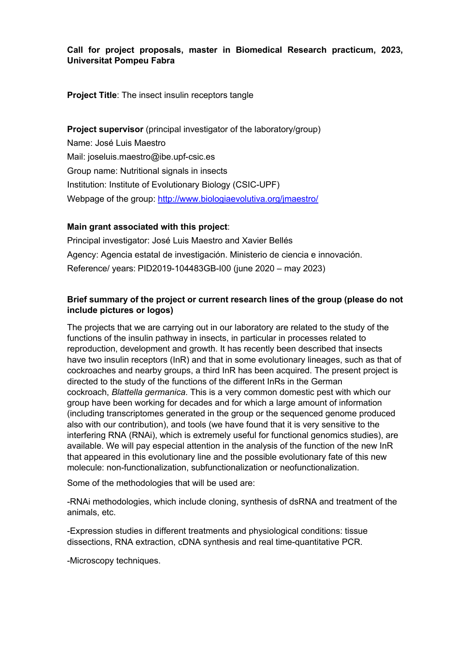## **Project Title:** The insect insulin receptors tangle

**Project supervisor** (principal investigator of the laboratory/group) Name: José Luis Maestro Mail: joseluis.maestro@ibe.upf-csic.es Group name: Nutritional signals in insects Institution: Institute of Evolutionary Biology (CSIC-UPF) Webpage of the group: http://www.biologiaevolutiva.org/jmaestro/

## **Main grant associated with this project**:

Principal investigator: José Luis Maestro and Xavier Bellés Agency: Agencia estatal de investigación. Ministerio de ciencia e innovación. Reference/ years: PID2019-104483GB-I00 (june 2020 – may 2023)

## **Brief summary of the project or current research lines of the group (please do not include pictures or logos)**

The projects that we are carrying out in our laboratory are related to the study of the functions of the insulin pathway in insects, in particular in processes related to reproduction, development and growth. It has recently been described that insects have two insulin receptors (InR) and that in some evolutionary lineages, such as that of cockroaches and nearby groups, a third InR has been acquired. The present project is directed to the study of the functions of the different InRs in the German cockroach, *Blattella germanica*. This is a very common domestic pest with which our group have been working for decades and for which a large amount of information (including transcriptomes generated in the group or the sequenced genome produced also with our contribution), and tools (we have found that it is very sensitive to the interfering RNA (RNAi), which is extremely useful for functional genomics studies), are available. We will pay especial attention in the analysis of the function of the new InR that appeared in this evolutionary line and the possible evolutionary fate of this new molecule: non-functionalization, subfunctionalization or neofunctionalization.

Some of the methodologies that will be used are:

-RNAi methodologies, which include cloning, synthesis of dsRNA and treatment of the animals, etc.

-Expression studies in different treatments and physiological conditions: tissue dissections, RNA extraction, cDNA synthesis and real time-quantitative PCR.

-Microscopy techniques.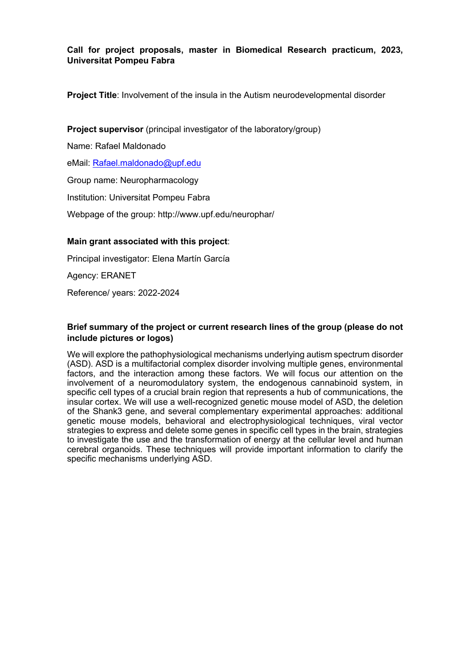**Project Title**: Involvement of the insula in the Autism neurodevelopmental disorder

**Project supervisor** (principal investigator of the laboratory/group)

Name: Rafael Maldonado

eMail: Rafael.maldonado@upf.edu

Group name: Neuropharmacology

Institution: Universitat Pompeu Fabra

Webpage of the group: http://www.upf.edu/neurophar/

## **Main grant associated with this project**:

Principal investigator: Elena Martín García

Agency: ERANET

Reference/ years: 2022-2024

## **Brief summary of the project or current research lines of the group (please do not include pictures or logos)**

We will explore the pathophysiological mechanisms underlying autism spectrum disorder (ASD). ASD is a multifactorial complex disorder involving multiple genes, environmental factors, and the interaction among these factors. We will focus our attention on the involvement of a neuromodulatory system, the endogenous cannabinoid system, in specific cell types of a crucial brain region that represents a hub of communications, the insular cortex. We will use a well-recognized genetic mouse model of ASD, the deletion of the Shank3 gene, and several complementary experimental approaches: additional genetic mouse models, behavioral and electrophysiological techniques, viral vector strategies to express and delete some genes in specific cell types in the brain, strategies to investigate the use and the transformation of energy at the cellular level and human cerebral organoids. These techniques will provide important information to clarify the specific mechanisms underlying ASD.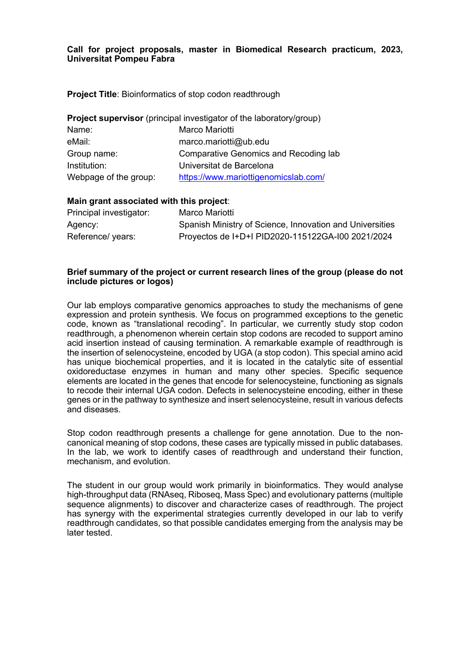**Project Title**: Bioinformatics of stop codon readthrough

| Project supervisor (principal investigator of the laboratory/group) |                                              |  |
|---------------------------------------------------------------------|----------------------------------------------|--|
| Name:                                                               | Marco Mariotti                               |  |
| eMail:                                                              | marco.mariotti@ub.edu                        |  |
| Group name:                                                         | <b>Comparative Genomics and Recoding lab</b> |  |
| Institution:                                                        | Universitat de Barcelona                     |  |
| Webpage of the group:                                               | https://www.mariottigenomicslab.com/         |  |

### **Main grant associated with this project**:

| Principal investigator: | Marco Mariotti                                           |
|-------------------------|----------------------------------------------------------|
| Agency:                 | Spanish Ministry of Science, Innovation and Universities |
| Reference/ years:       | Proyectos de I+D+I PID2020-115122GA-I00 2021/2024        |

### **Brief summary of the project or current research lines of the group (please do not include pictures or logos)**

Our lab employs comparative genomics approaches to study the mechanisms of gene expression and protein synthesis. We focus on programmed exceptions to the genetic code, known as "translational recoding". In particular, we currently study stop codon readthrough, a phenomenon wherein certain stop codons are recoded to support amino acid insertion instead of causing termination. A remarkable example of readthrough is the insertion of selenocysteine, encoded by UGA (a stop codon). This special amino acid has unique biochemical properties, and it is located in the catalytic site of essential oxidoreductase enzymes in human and many other species. Specific sequence elements are located in the genes that encode for selenocysteine, functioning as signals to recode their internal UGA codon. Defects in selenocysteine encoding, either in these genes or in the pathway to synthesize and insert selenocysteine, result in various defects and diseases.

Stop codon readthrough presents a challenge for gene annotation. Due to the noncanonical meaning of stop codons, these cases are typically missed in public databases. In the lab, we work to identify cases of readthrough and understand their function, mechanism, and evolution.

The student in our group would work primarily in bioinformatics. They would analyse high-throughput data (RNAseq, Riboseq, Mass Spec) and evolutionary patterns (multiple sequence alignments) to discover and characterize cases of readthrough. The project has synergy with the experimental strategies currently developed in our lab to verify readthrough candidates, so that possible candidates emerging from the analysis may be later tested.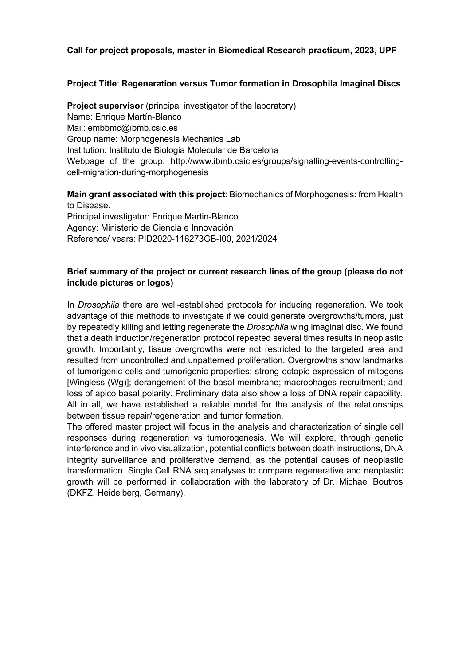## **Call for project proposals, master in Biomedical Research practicum, 2023, UPF**

## **Project Title**: **Regeneration versus Tumor formation in Drosophila Imaginal Discs**

**Project supervisor** (principal investigator of the laboratory) Name: Enrique Martín-Blanco Mail: embbmc@ibmb.csic.es Group name: Morphogenesis Mechanics Lab Institution: Instituto de Biologia Molecular de Barcelona Webpage of the group: http://www.ibmb.csic.es/groups/signalling-events-controllingcell-migration-during-morphogenesis

**Main grant associated with this project**: Biomechanics of Morphogenesis: from Health to Disease.

Principal investigator: Enrique Martin-Blanco Agency: Ministerio de Ciencia e Innovación Reference/ years: PID2020-116273GB-I00, 2021/2024

## **Brief summary of the project or current research lines of the group (please do not include pictures or logos)**

In *Drosophila* there are well-established protocols for inducing regeneration. We took advantage of this methods to investigate if we could generate overgrowths/tumors, just by repeatedly killing and letting regenerate the *Drosophila* wing imaginal disc. We found that a death induction/regeneration protocol repeated several times results in neoplastic growth. Importantly, tissue overgrowths were not restricted to the targeted area and resulted from uncontrolled and unpatterned proliferation. Overgrowths show landmarks of tumorigenic cells and tumorigenic properties: strong ectopic expression of mitogens [Wingless (Wg)]; derangement of the basal membrane; macrophages recruitment; and loss of apico basal polarity. Preliminary data also show a loss of DNA repair capability. All in all, we have established a reliable model for the analysis of the relationships between tissue repair/regeneration and tumor formation.

The offered master project will focus in the analysis and characterization of single cell responses during regeneration vs tumorogenesis. We will explore, through genetic interference and in vivo visualization, potential conflicts between death instructions, DNA integrity surveillance and proliferative demand, as the potential causes of neoplastic transformation. Single Cell RNA seq analyses to compare regenerative and neoplastic growth will be performed in collaboration with the laboratory of Dr. Michael Boutros (DKFZ, Heidelberg, Germany).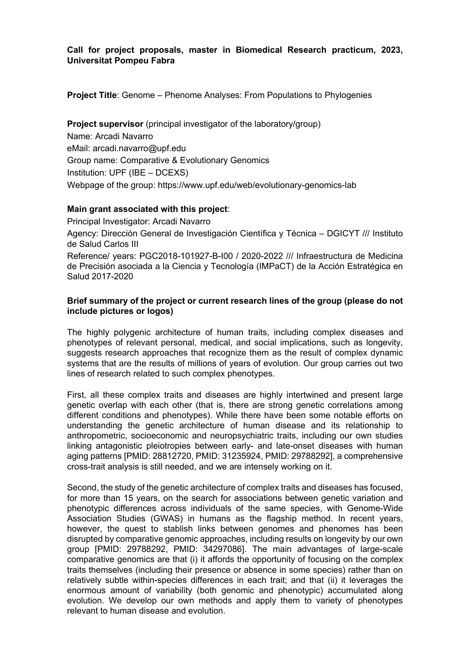**Project Title**: Genome – Phenome Analyses: From Populations to Phylogenies

**Project supervisor** (principal investigator of the laboratory/group) Name: Arcadi Navarro eMail: arcadi.navarro@upf.edu Group name: Comparative & Evolutionary Genomics Institution: UPF (IBE – DCEXS) Webpage of the group: https://www.upf.edu/web/evolutionary-genomics-lab

## **Main grant associated with this project**:

Principal Investigator: Arcadi Navarro Agency: Dirección General de Investigación Científica y Técnica – DGICYT /// Instituto de Salud Carlos III Reference/ years: PGC2018-101927-B-I00 / 2020-2022 /// Infraestructura de Medicina de Precisión asociada a la Ciencia y Tecnología (IMPaCT) de la Acción Estratégica en Salud 2017-2020

### **Brief summary of the project or current research lines of the group (please do not include pictures or logos)**

The highly polygenic architecture of human traits, including complex diseases and phenotypes of relevant personal, medical, and social implications, such as longevity, suggests research approaches that recognize them as the result of complex dynamic systems that are the results of millions of years of evolution. Our group carries out two lines of research related to such complex phenotypes.

First, all these complex traits and diseases are highly intertwined and present large genetic overlap with each other (that is, there are strong genetic correlations among different conditions and phenotypes). While there have been some notable efforts on understanding the genetic architecture of human disease and its relationship to anthropometric, socioeconomic and neuropsychiatric traits, including our own studies linking antagonistic pleiotropies between early- and late-onset diseases with human aging patterns [PMID: 28812720, PMID: 31235924, PMID: 29788292], a comprehensive cross-trait analysis is still needed, and we are intensely working on it.

Second, the study of the genetic architecture of complex traits and diseases has focused, for more than 15 years, on the search for associations between genetic variation and phenotypic differences across individuals of the same species, with Genome-Wide Association Studies (GWAS) in humans as the flagship method. In recent years, however, the quest to stablish links between genomes and phenomes has been disrupted by comparative genomic approaches, including results on longevity by our own group [PMID: 29788292, PMID: 34297086]. The main advantages of large-scale comparative genomics are that (i) it affords the opportunity of focusing on the complex traits themselves (including their presence or absence in some species) rather than on relatively subtle within-species differences in each trait; and that (ii) it leverages the enormous amount of variability (both genomic and phenotypic) accumulated along evolution. We develop our own methods and apply them to variety of phenotypes relevant to human disease and evolution.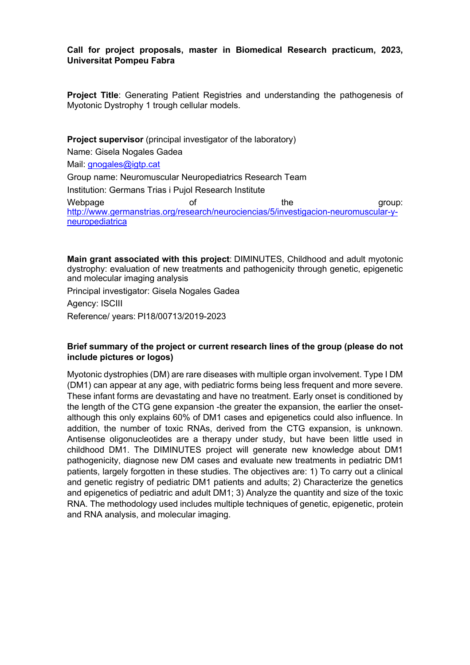**Project Title**: Generating Patient Registries and understanding the pathogenesis of Myotonic Dystrophy 1 trough cellular models.

**Project supervisor** (principal investigator of the laboratory) Name: Gisela Nogales Gadea Mail: gnogales@igtp.cat Group name: Neuromuscular Neuropediatrics Research Team Institution: Germans Trias i Pujol Research Institute Webpage of of the group: http://www.germanstrias.org/research/neurociencias/5/investigacion-neuromuscular-yneuropediatrica

**Main grant associated with this project**: DIMINUTES, Childhood and adult myotonic dystrophy: evaluation of new treatments and pathogenicity through genetic, epigenetic and molecular imaging analysis

Principal investigator: Gisela Nogales Gadea

Agency: ISCIII Reference/ years: PI18/00713/2019-2023

## **Brief summary of the project or current research lines of the group (please do not include pictures or logos)**

Myotonic dystrophies (DM) are rare diseases with multiple organ involvement. Type I DM (DM1) can appear at any age, with pediatric forms being less frequent and more severe. These infant forms are devastating and have no treatment. Early onset is conditioned by the length of the CTG gene expansion -the greater the expansion, the earlier the onsetalthough this only explains 60% of DM1 cases and epigenetics could also influence. In addition, the number of toxic RNAs, derived from the CTG expansion, is unknown. Antisense oligonucleotides are a therapy under study, but have been little used in childhood DM1. The DIMINUTES project will generate new knowledge about DM1 pathogenicity, diagnose new DM cases and evaluate new treatments in pediatric DM1 patients, largely forgotten in these studies. The objectives are: 1) To carry out a clinical and genetic registry of pediatric DM1 patients and adults; 2) Characterize the genetics and epigenetics of pediatric and adult DM1; 3) Analyze the quantity and size of the toxic RNA. The methodology used includes multiple techniques of genetic, epigenetic, protein and RNA analysis, and molecular imaging.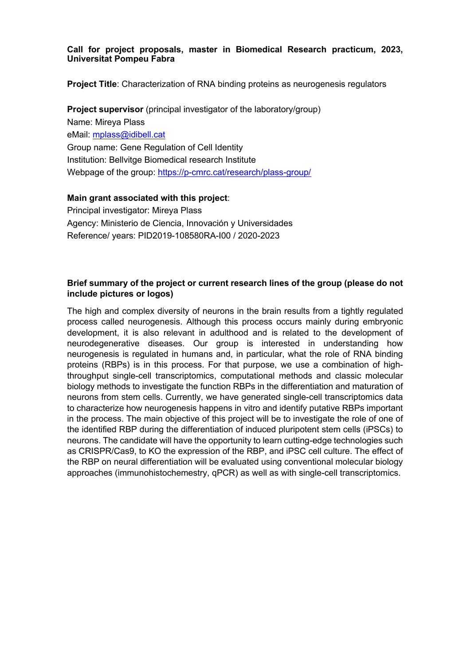**Project Title**: Characterization of RNA binding proteins as neurogenesis regulators

**Project supervisor** (principal investigator of the laboratory/group) Name: Mireya Plass eMail: mplass@idibell.cat Group name: Gene Regulation of Cell Identity Institution: Bellvitge Biomedical research Institute Webpage of the group: https://p-cmrc.cat/research/plass-group/

## **Main grant associated with this project**:

Principal investigator: Mireya Plass Agency: Ministerio de Ciencia, Innovación y Universidades Reference/ years: PID2019-108580RA-I00 / 2020-2023

## **Brief summary of the project or current research lines of the group (please do not include pictures or logos)**

The high and complex diversity of neurons in the brain results from a tightly regulated process called neurogenesis. Although this process occurs mainly during embryonic development, it is also relevant in adulthood and is related to the development of neurodegenerative diseases. Our group is interested in understanding how neurogenesis is regulated in humans and, in particular, what the role of RNA binding proteins (RBPs) is in this process. For that purpose, we use a combination of highthroughput single-cell transcriptomics, computational methods and classic molecular biology methods to investigate the function RBPs in the differentiation and maturation of neurons from stem cells. Currently, we have generated single-cell transcriptomics data to characterize how neurogenesis happens in vitro and identify putative RBPs important in the process. The main objective of this project will be to investigate the role of one of the identified RBP during the differentiation of induced pluripotent stem cells (iPSCs) to neurons. The candidate will have the opportunity to learn cutting-edge technologies such as CRISPR/Cas9, to KO the expression of the RBP, and iPSC cell culture. The effect of the RBP on neural differentiation will be evaluated using conventional molecular biology approaches (immunohistochemestry, qPCR) as well as with single-cell transcriptomics.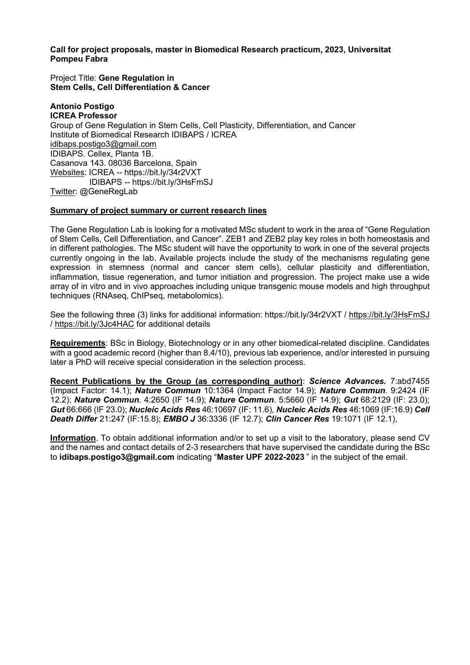Project Title: **Gene Regulation in Stem Cells, Cell Differentiation & Cancer**

#### **Antonio Postigo ICREA Professor**

Group of Gene Regulation in Stem Cells, Cell Plasticity, Differentiation, and Cancer Institute of Biomedical Research IDIBAPS / ICREA idibaps.postigo3@gmail.com IDIBAPS. Cellex, Planta 1B. Casanova 143. 08036 Barcelona, Spain Websites: ICREA -- https://bit.ly/34r2VXT IDIBAPS -- https://bit.ly/3HsFmSJ Twitter: @GeneRegLab

### **Summary of project summary or current research lines**

The Gene Regulation Lab is looking for a motivated MSc student to work in the area of "Gene Regulation of Stem Cells, Cell Differentiation, and Cancer". ZEB1 and ZEB2 play key roles in both homeostasis and in different pathologies. The MSc student will have the opportunity to work in one of the several projects currently ongoing in the lab. Available projects include the study of the mechanisms regulating gene expression in stemness (normal and cancer stem cells), cellular plasticity and differentiation, inflammation, tissue regeneration, and tumor initiation and progression. The project make use a wide array of in vitro and in vivo approaches including unique transgenic mouse models and high throughput techniques (RNAseq, ChIPseq, metabolomics).

See the following three (3) links for additional information: https://bit.ly/34r2VXT / https://bit.ly/3HsFmSJ / https://bit.ly/3Jc4HAC for additional details

**Requirements**: BSc in Biology, Biotechnology or in any other biomedical-related discipline. Candidates with a good academic record (higher than 8.4/10), previous lab experience, and/or interested in pursuing later a PhD will receive special consideration in the selection process.

**Recent Publications by the Group (as corresponding author)**: *Science Advances.* 7:abd7455 (Impact Factor: 14.1); *Nature Commun* 10:1364 (Impact Factor 14.9); *Nature Commun*. 9:2424 (IF 12.2); *Nature Commun*. 4:2650 (IF 14.9); *Nature Commun*. 5:5660 (IF 14.9); *Gut* 68:2129 (IF: 23.0); *Gut* 66:666 (IF 23.0); *Nucleic Acids Res* 46:10697 (IF: 11.6), *Nucleic Acids Res* 46:1069 (IF:16.9) *Cell Death Differ* 21:247 (IF:15.8); *EMBO J* 36:3336 (IF 12.7); *Clin Cancer Res* 19:1071 (IF 12.1),

**Information**. To obtain additional information and/or to set up a visit to the laboratory, please send CV and the names and contact details of 2-3 researchers that have supervised the candidate during the BSc to **idibaps.postigo3@gmail.com** indicating "**Master UPF 2022-2023** " in the subject of the email.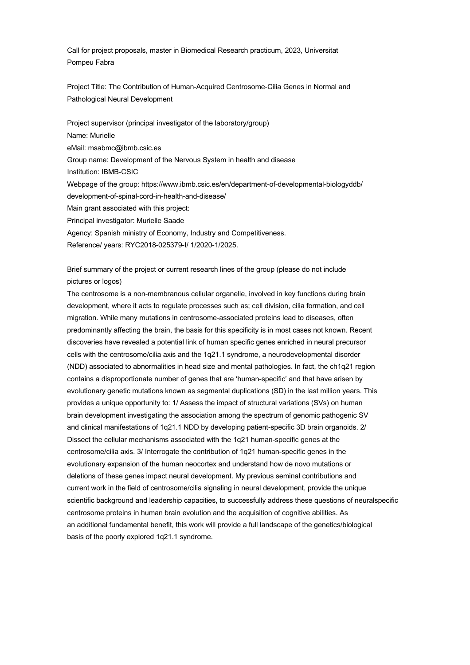Project Title: The Contribution of Human-Acquired Centrosome-Cilia Genes in Normal and Pathological Neural Development

Project supervisor (principal investigator of the laboratory/group) Name: Murielle eMail: msabmc@ibmb.csic.es Group name: Development of the Nervous System in health and disease Institution: IBMB-CSIC Webpage of the group: https://www.ibmb.csic.es/en/department-of-developmental-biologyddb/ development-of-spinal-cord-in-health-and-disease/ Main grant associated with this project: Principal investigator: Murielle Saade Agency: Spanish ministry of Economy, Industry and Competitiveness.

Reference/ years: RYC2018-025379-I/ 1/2020-1/2025.

Brief summary of the project or current research lines of the group (please do not include pictures or logos)

The centrosome is a non-membranous cellular organelle, involved in key functions during brain development, where it acts to regulate processes such as; cell division, cilia formation, and cell migration. While many mutations in centrosome-associated proteins lead to diseases, often predominantly affecting the brain, the basis for this specificity is in most cases not known. Recent discoveries have revealed a potential link of human specific genes enriched in neural precursor cells with the centrosome/cilia axis and the 1q21.1 syndrome, a neurodevelopmental disorder (NDD) associated to abnormalities in head size and mental pathologies. In fact, the ch1q21 region contains a disproportionate number of genes that are 'human-specific' and that have arisen by evolutionary genetic mutations known as segmental duplications (SD) in the last million years. This provides a unique opportunity to: 1/ Assess the impact of structural variations (SVs) on human brain development investigating the association among the spectrum of genomic pathogenic SV and clinical manifestations of 1q21.1 NDD by developing patient-specific 3D brain organoids. 2/ Dissect the cellular mechanisms associated with the 1q21 human-specific genes at the centrosome/cilia axis. 3/ Interrogate the contribution of 1q21 human-specific genes in the evolutionary expansion of the human neocortex and understand how de novo mutations or deletions of these genes impact neural development. My previous seminal contributions and current work in the field of centrosome/cilia signaling in neural development, provide the unique scientific background and leadership capacities, to successfully address these questions of neuralspecific centrosome proteins in human brain evolution and the acquisition of cognitive abilities. As an additional fundamental benefit, this work will provide a full landscape of the genetics/biological basis of the poorly explored 1q21.1 syndrome.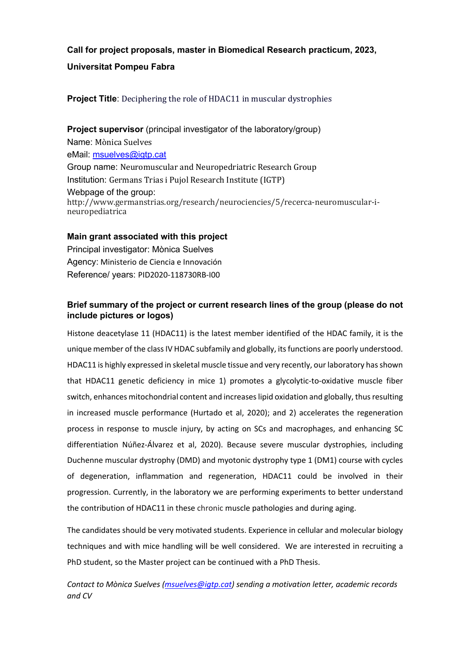## **Project Title**: Deciphering the role of HDAC11 in muscular dystrophies

**Project supervisor** (principal investigator of the laboratory/group) Name: Mònica Suelves eMail: msuelves@igtp.cat Group name: Neuromuscular and Neuropedriatric Research Group Institution: Germans Trias i Pujol Research Institute (IGTP) Webpage of the group: http://www.germanstrias.org/research/neurociencies/5/recerca-neuromuscular-ineuropediatrica

### **Main grant associated with this project**

Principal investigator: Mònica Suelves Agency: Ministerio de Ciencia e Innovación Reference/ years: PID2020-118730RB-I00

## **Brief summary of the project or current research lines of the group (please do not include pictures or logos)**

Histone deacetylase 11 (HDAC11) is the latest member identified of the HDAC family, it is the unique member of the class IV HDAC subfamily and globally, its functions are poorly understood. HDAC11 is highly expressed in skeletal muscle tissue and very recently, our laboratory has shown that HDAC11 genetic deficiency in mice 1) promotes a glycolytic-to-oxidative muscle fiber switch, enhances mitochondrial content and increases lipid oxidation and globally, thus resulting in increased muscle performance (Hurtado et al, 2020); and 2) accelerates the regeneration process in response to muscle injury, by acting on SCs and macrophages, and enhancing SC differentiation Núñez-Álvarez et al, 2020). Because severe muscular dystrophies, including Duchenne muscular dystrophy (DMD) and myotonic dystrophy type 1 (DM1) course with cycles of degeneration, inflammation and regeneration, HDAC11 could be involved in their progression. Currently, in the laboratory we are performing experiments to better understand the contribution of HDAC11 in these chronic muscle pathologies and during aging.

The candidates should be very motivated students. Experience in cellular and molecular biology techniques and with mice handling will be well considered. We are interested in recruiting a PhD student, so the Master project can be continued with a PhD Thesis.

*Contact to Mònica Suelves (msuelves@igtp.cat) sending a motivation letter, academic records and CV*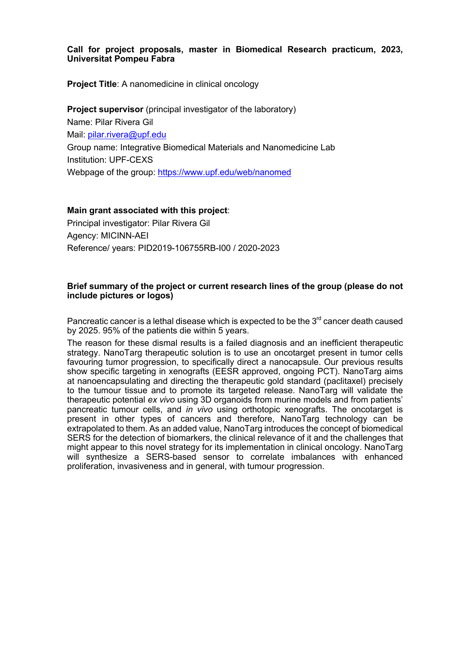**Project Title**: A nanomedicine in clinical oncology

**Project supervisor** (principal investigator of the laboratory) Name: Pilar Rivera Gil Mail: pilar.rivera@upf.edu Group name: Integrative Biomedical Materials and Nanomedicine Lab Institution: UPF-CEXS Webpage of the group: https://www.upf.edu/web/nanomed

### **Main grant associated with this project**:

Principal investigator: Pilar Rivera Gil Agency: MICINN-AEI Reference/ years: PID2019-106755RB-I00 / 2020-2023

### **Brief summary of the project or current research lines of the group (please do not include pictures or logos)**

Pancreatic cancer is a lethal disease which is expected to be the  $3<sup>rd</sup>$  cancer death caused by 2025. 95% of the patients die within 5 years.

The reason for these dismal results is a failed diagnosis and an inefficient therapeutic strategy. NanoTarg therapeutic solution is to use an oncotarget present in tumor cells favouring tumor progression, to specifically direct a nanocapsule. Our previous results show specific targeting in xenografts (EESR approved, ongoing PCT). NanoTarg aims at nanoencapsulating and directing the therapeutic gold standard (paclitaxel) precisely to the tumour tissue and to promote its targeted release. NanoTarg will validate the therapeutic potential *ex vivo* using 3D organoids from murine models and from patients' pancreatic tumour cells, and *in vivo* using orthotopic xenografts. The oncotarget is present in other types of cancers and therefore, NanoTarg technology can be extrapolated to them. As an added value, NanoTarg introduces the concept of biomedical SERS for the detection of biomarkers, the clinical relevance of it and the challenges that might appear to this novel strategy for its implementation in clinical oncology. NanoTarg will synthesize a SERS-based sensor to correlate imbalances with enhanced proliferation, invasiveness and in general, with tumour progression.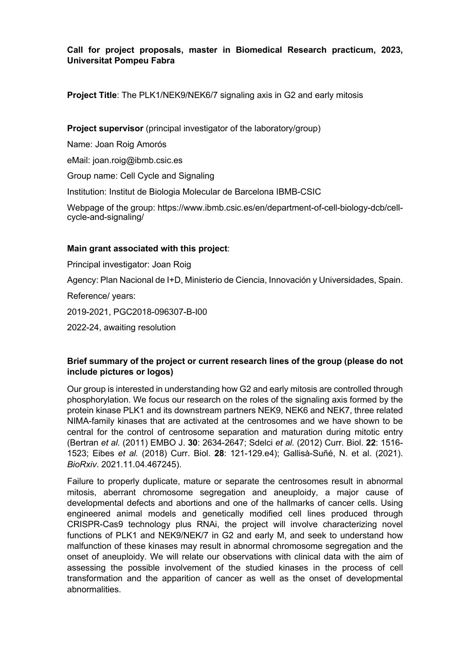**Project Title**: The PLK1/NEK9/NEK6/7 signaling axis in G2 and early mitosis

**Project supervisor** (principal investigator of the laboratory/group)

Name: Joan Roig Amorós

eMail: joan.roig@ibmb.csic.es

Group name: Cell Cycle and Signaling

Institution: Institut de Biologia Molecular de Barcelona IBMB-CSIC

Webpage of the group: https://www.ibmb.csic.es/en/department-of-cell-biology-dcb/cellcycle-and-signaling/

## **Main grant associated with this project**:

Principal investigator: Joan Roig Agency: Plan Nacional de I+D, Ministerio de Ciencia, Innovación y Universidades, Spain. Reference/ years: 2019-2021, PGC2018-096307-B-I00 2022-24, awaiting resolution

## **Brief summary of the project or current research lines of the group (please do not include pictures or logos)**

Our group is interested in understanding how G2 and early mitosis are controlled through phosphorylation. We focus our research on the roles of the signaling axis formed by the protein kinase PLK1 and its downstream partners NEK9, NEK6 and NEK7, three related NIMA-family kinases that are activated at the centrosomes and we have shown to be central for the control of centrosome separation and maturation during mitotic entry (Bertran *et al.* (2011) EMBO J. **30**: 2634-2647; Sdelci *et al.* (2012) Curr. Biol. **22**: 1516- 1523; Eibes *et al.* (2018) Curr. Biol. **28**: 121-129.e4); Gallisà-Suñé, N. et al. (2021). *BioRxiv*. 2021.11.04.467245).

Failure to properly duplicate, mature or separate the centrosomes result in abnormal mitosis, aberrant chromosome segregation and aneuploidy, a major cause of developmental defects and abortions and one of the hallmarks of cancer cells. Using engineered animal models and genetically modified cell lines produced through CRISPR-Cas9 technology plus RNAi, the project will involve characterizing novel functions of PLK1 and NEK9/NEK/7 in G2 and early M, and seek to understand how malfunction of these kinases may result in abnormal chromosome segregation and the onset of aneuploidy. We will relate our observations with clinical data with the aim of assessing the possible involvement of the studied kinases in the process of cell transformation and the apparition of cancer as well as the onset of developmental abnormalities.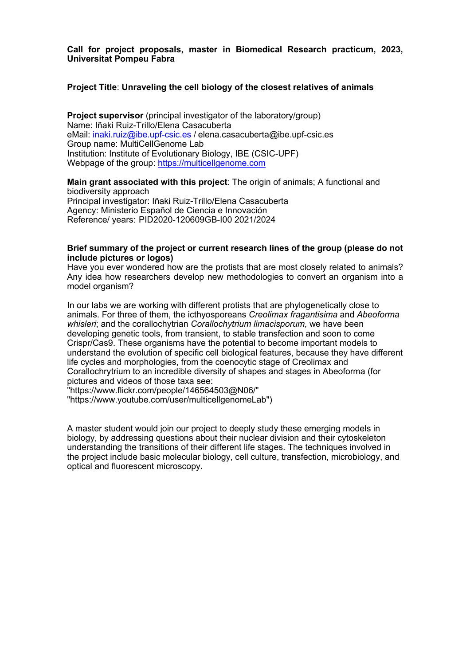### **Project Title**: **Unraveling the cell biology of the closest relatives of animals**

**Project supervisor** (principal investigator of the laboratory/group) Name: Iñaki Ruiz-Trillo/Elena Casacuberta eMail: inaki.ruiz@ibe.upf-csic.es / elena.casacuberta@ibe.upf-csic.es Group name: MultiCellGenome Lab Institution: Institute of Evolutionary Biology, IBE (CSIC-UPF) Webpage of the group: https://multicellgenome.com

**Main grant associated with this project**: The origin of animals; A functional and biodiversity approach Principal investigator: Iñaki Ruiz-Trillo/Elena Casacuberta Agency: Ministerio Español de Ciencia e Innovación

Reference/ years: PID2020-120609GB-I00 2021/2024

#### **Brief summary of the project or current research lines of the group (please do not include pictures or logos)**

Have you ever wondered how are the protists that are most closely related to animals? Any idea how researchers develop new methodologies to convert an organism into a model organism?

In our labs we are working with different protists that are phylogenetically close to animals. For three of them, the icthyosporeans *Creolimax fragantisima* and *Abeoforma whisleri*; and the corallochytrian *Corallochytrium limacisporum,* we have been developing genetic tools, from transient, to stable transfection and soon to come Crispr/Cas9. These organisms have the potential to become important models to understand the evolution of specific cell biological features, because they have different life cycles and morphologies, from the coenocytic stage of Creolimax and Corallochrytrium to an incredible diversity of shapes and stages in Abeoforma (for pictures and videos of those taxa see:

"https://www.flickr.com/people/146564503@N06/"

"https://www.youtube.com/user/multicellgenomeLab")

A master student would join our project to deeply study these emerging models in biology, by addressing questions about their nuclear division and their cytoskeleton understanding the transitions of their different life stages. The techniques involved in the project include basic molecular biology, cell culture, transfection, microbiology, and optical and fluorescent microscopy.